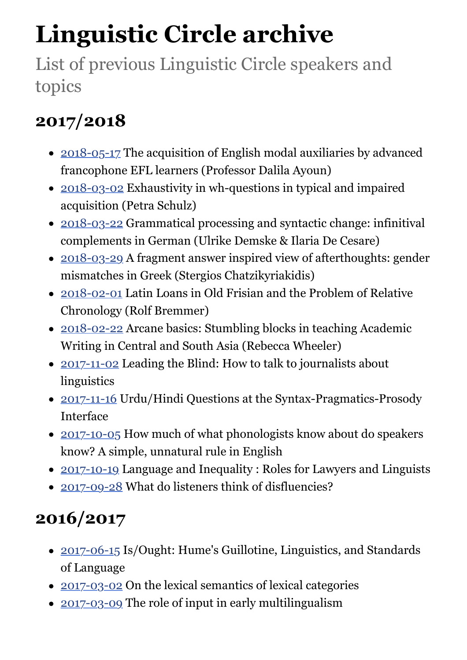# **Linguistic Circle archive**

List of previous Linguistic Circle speakers and topics

# **2017/2018**

- [2018-05-17](https://www.ed.ac.uk/ppls/linguistics-and-english-language/events/linguistic-circle-2018-05-17) The acquisition of English modal auxiliaries by advanced francophone EFL learners (Professor Dalila Ayoun)
- [2018-03-02](https://www.ed.ac.uk/ppls/linguistics-and-english-language/events/linguistic-circle-2018-03-02) Exhaustivity in wh-questions in typical and impaired acquisition (Petra Schulz)
- [2018-03-22](https://www.ed.ac.uk/ppls/linguistics-and-english-language/events/linguistic-circle-2018-03-22) Grammatical processing and syntactic change: infinitival complements in German (Ulrike Demske & Ilaria De Cesare)
- [2018-03-29](https://www.ed.ac.uk/ppls/linguistics-and-english-language/events/linguistic-circle-2018-03-29) A fragment answer inspired view of afterthoughts: gender mismatches in Greek (Stergios Chatzikyriakidis)
- [2018-02-01](https://www.ed.ac.uk/ppls/linguistics-and-english-language/events/linguistic-circle-2018-02-01) Latin Loans in Old Frisian and the Problem of Relative Chronology (Rolf Bremmer)
- [2018-02-22](https://www.ed.ac.uk/ppls/linguistics-and-english-language/events/linguistic-circle-2018-02-22) Arcane basics: Stumbling blocks in teaching Academic Writing in Central and South Asia (Rebecca Wheeler)
- [2017-11-02](https://www.ed.ac.uk/ppls/linguistics-and-english-language/events/linguistic-circle-2017-11-02) Leading the Blind: How to talk to journalists about linguistics
- [2017-11-16](https://www.ed.ac.uk/ppls/linguistics-and-english-language/events/linguistic-circle-2017-11-16) Urdu/Hindi Questions at the Syntax-Pragmatics-Prosody Interface
- [2017-10-05](https://www.ed.ac.uk/ppls/linguistics-and-english-language/events/linguistic-circle-05-oct-2017) How much of what phonologists know about do speakers know? A simple, unnatural rule in English
- [2017-10-19](https://www.ed.ac.uk/ppls/linguistics-and-english-language/events/linguistic-circle-19-oct-2017) Language and Inequality : Roles for Lawyers and Linguists
- [2017-09-28](https://www.ed.ac.uk/ppls/linguistics-and-english-language/events/linguistic-circle-28-sep-2017) What do listeners think of disfluencies?

# **2016/2017**

- [2017-06-15](https://www.ed.ac.uk/ppls/linguistics-and-english-language/events/linguistic-circle-15-jun-2017) Is/Ought: Hume's Guillotine, Linguistics, and Standards of Language
- [2017-03-02](https://www.ed.ac.uk/ppls/linguistics-and-english-language/events/linguistic-circle-02-mar-2017) On the lexical semantics of lexical categories
- [2017-03-09](https://www.ed.ac.uk/ppls/linguistics-and-english-language/events/linguistic-circle-09-mar-2017) The role of input in early multilingualism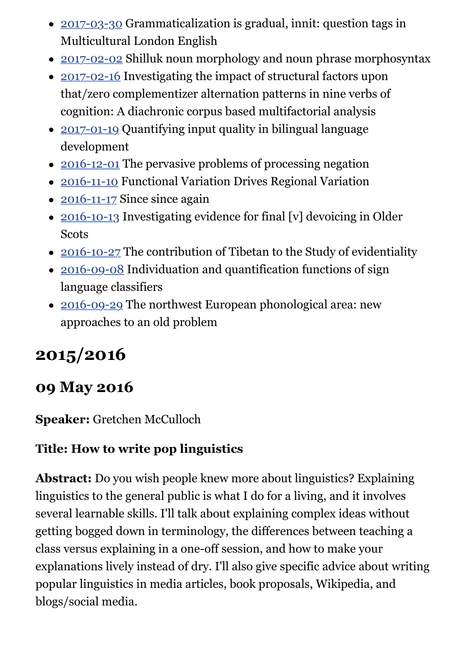- [2017-03-30](https://www.ed.ac.uk/ppls/linguistics-and-english-language/events/linguistic-circle-30-mar-2017) Grammaticalization is gradual, innit: question tags in Multicultural London English
- [2017-02-02](https://www.ed.ac.uk/ppls/linguistics-and-english-language/events/linguistic-circle-02-feb-2017) Shilluk noun morphology and noun phrase morphosyntax
- [2017-02-16](https://www.ed.ac.uk/ppls/linguistics-and-english-language/events/linguistic-circle-16-feb-2017) Investigating the impact of structural factors upon that/zero complementizer alternation patterns in nine verbs of cognition: A diachronic corpus based multifactorial analysis
- [2017-01-19](https://www.ed.ac.uk/ppls/linguistics-and-english-language/events/linguistic-circle-19-jan-2017) Quantifying input quality in bilingual language development
- [2016-12-01](https://www.ed.ac.uk/ppls/linguistics-and-english-language/events/linguistic-circle-01-dec-2016) The pervasive problems of processing negation
- [2016-11-10](https://www.ed.ac.uk/ppls/linguistics-and-english-language/events/linguistic-circle-10-nov-2016) Functional Variation Drives Regional Variation
- $\bullet$  [2016-11-17](https://www.ed.ac.uk/ppls/linguistics-and-english-language/events/linguistic-circle-17-nov-2016) Since since again
- [2016-10-13](https://www.ed.ac.uk/ppls/linguistics-and-english-language/events/linguistic-circle-13-oct-2016) Investigating evidence for final [v] devoicing in Older **Scots**
- [2016-10-27](https://www.ed.ac.uk/ppls/linguistics-and-english-language/events/linguistic-circle-27-oct-2016) The contribution of Tibetan to the Study of evidentiality
- [2016-09-08](https://www.ed.ac.uk/ppls/linguistics-and-english-language/events/linguistic-circle-08-sep-2016) Individuation and quantification functions of sign language classifiers
- [2016-09-29](https://www.ed.ac.uk/ppls/linguistics-and-english-language/events/linguistic-circle-29-sep-2016) The northwest European phonological area: new approaches to an old problem

# **2015/2016**

### **09 May 2016**

#### **Speaker:** Gretchen McCulloch

#### **Title: How to write pop linguistics**

**Abstract:** Do you wish people knew more about linguistics? Explaining linguistics to the general public is what I do for a living, and it involves several learnable skills. I'll talk about explaining complex ideas without getting bogged down in terminology, the differences between teaching a class versus explaining in a one-off session, and how to make your explanations lively instead of dry. I'll also give specific advice about writing popular linguistics in media articles, book proposals, Wikipedia, and blogs/social media.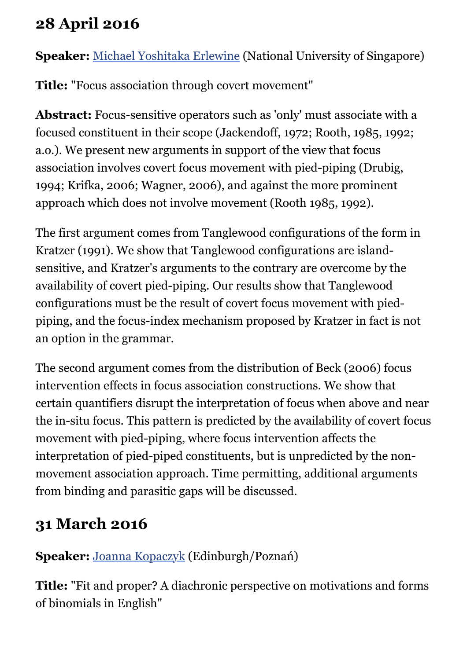### **28 April 2016**

**Speaker:** [Michael Yoshitaka Erlewine](https://mitcho.com/) (National University of Singapore)

**Title:** "Focus association through covert movement"

**Abstract:** Focus-sensitive operators such as 'only' must associate with a focused constituent in their scope (Jackendoff, 1972; Rooth, 1985, 1992; a.o.). We present new arguments in support of the view that focus association involves covert focus movement with pied-piping (Drubig, 1994; Krifka, 2006; Wagner, 2006), and against the more prominent approach which does not involve movement (Rooth 1985, 1992).

The first argument comes from Tanglewood configurations of the form in Kratzer (1991). We show that Tanglewood configurations are islandsensitive, and Kratzer's arguments to the contrary are overcome by the availability of covert pied-piping. Our results show that Tanglewood configurations must be the result of covert focus movement with piedpiping, and the focus-index mechanism proposed by Kratzer in fact is not an option in the grammar.

The second argument comes from the distribution of Beck (2006) focus intervention effects in focus association constructions. We show that certain quantifiers disrupt the interpretation of focus when above and near the in-situ focus. This pattern is predicted by the availability of covert focus movement with pied-piping, where focus intervention affects the interpretation of pied-piped constituents, but is unpredicted by the nonmovement association approach. Time permitting, additional arguments from binding and parasitic gaps will be discussed.

# **31 March 2016**

#### **Speaker:** [Joanna Kopaczyk](http://www.ppls.ed.ac.uk/people/joanna-kopaczyk) (Edinburgh/Poznań)

**Title:** "Fit and proper? A diachronic perspective on motivations and forms of binomials in English"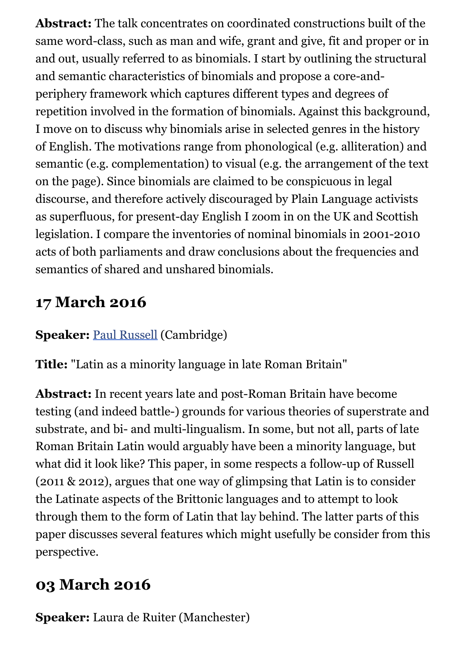**Abstract:** The talk concentrates on coordinated constructions built of the same word-class, such as man and wife, grant and give, fit and proper or in and out, usually referred to as binomials. I start by outlining the structural and semantic characteristics of binomials and propose a core-andperiphery framework which captures different types and degrees of repetition involved in the formation of binomials. Against this background, I move on to discuss why binomials arise in selected genres in the history of English. The motivations range from phonological (e.g. alliteration) and semantic (e.g. complementation) to visual (e.g. the arrangement of the text on the page). Since binomials are claimed to be conspicuous in legal discourse, and therefore actively discouraged by Plain Language activists as superfluous, for present-day English I zoom in on the UK and Scottish legislation. I compare the inventories of nominal binomials in 2001-2010 acts of both parliaments and draw conclusions about the frequencies and semantics of shared and unshared binomials.

### **17 March 2016**

#### **Speaker:** [Paul Russell](http://www.asnc.cam.ac.uk/people/academic/prussell.htm) (Cambridge)

**Title:** "Latin as a minority language in late Roman Britain"

**Abstract:** In recent years late and post-Roman Britain have become testing (and indeed battle-) grounds for various theories of superstrate and substrate, and bi- and multi-lingualism. In some, but not all, parts of late Roman Britain Latin would arguably have been a minority language, but what did it look like? This paper, in some respects a follow-up of Russell (2011 & 2012), argues that one way of glimpsing that Latin is to consider the Latinate aspects of the Brittonic languages and to attempt to look through them to the form of Latin that lay behind. The latter parts of this paper discusses several features which might usefully be consider from this perspective.

### **03 March 2016**

**Speaker:** Laura de Ruiter (Manchester)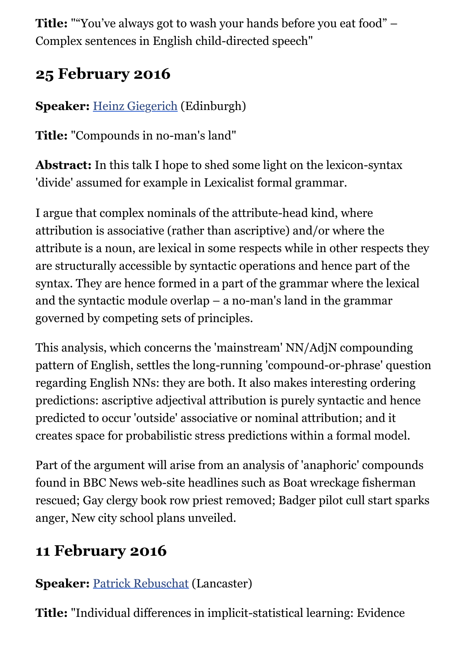**Title:** ""You've always got to wash your hands before you eat food" – Complex sentences in English child-directed speech"

### **25 February 2016**

#### **Speaker:** [Heinz Giegerich](http://www.lel.ed.ac.uk/people/view.php?name=heinz-j-giegerich) (Edinburgh)

**Title:** "Compounds in no-man's land"

**Abstract:** In this talk I hope to shed some light on the lexicon-syntax 'divide' assumed for example in Lexicalist formal grammar.

I argue that complex nominals of the attribute-head kind, where attribution is associative (rather than ascriptive) and/or where the attribute is a noun, are lexical in some respects while in other respects they are structurally accessible by syntactic operations and hence part of the syntax. They are hence formed in a part of the grammar where the lexical and the syntactic module overlap – a no-man's land in the grammar governed by competing sets of principles.

This analysis, which concerns the 'mainstream' NN/AdjN compounding pattern of English, settles the long-running 'compound-or-phrase' question regarding English NNs: they are both. It also makes interesting ordering predictions: ascriptive adjectival attribution is purely syntactic and hence predicted to occur 'outside' associative or nominal attribution; and it creates space for probabilistic stress predictions within a formal model.

Part of the argument will arise from an analysis of 'anaphoric' compounds found in BBC News web-site headlines such as Boat wreckage fisherman rescued; Gay clergy book row priest removed; Badger pilot cull start sparks anger, New city school plans unveiled.

#### **11 February 2016**

#### **Speaker:** [Patrick Rebuschat](http://www.ling.lancs.ac.uk/profiles/patrick-rebuschat) (Lancaster)

**Title:** "Individual differences in implicit-statistical learning: Evidence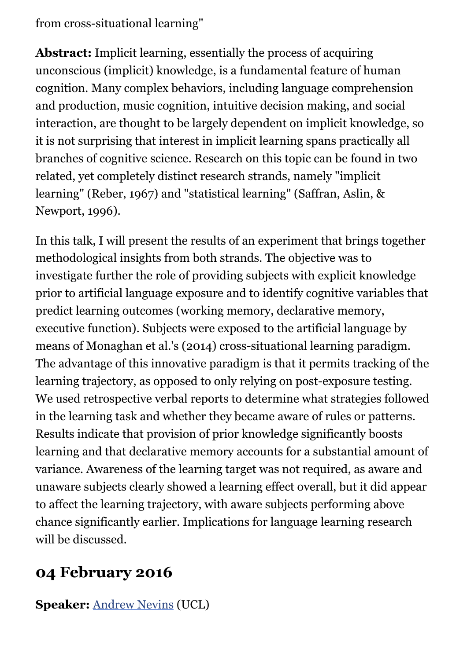from cross-situational learning"

**Abstract:** Implicit learning, essentially the process of acquiring unconscious (implicit) knowledge, is a fundamental feature of human cognition. Many complex behaviors, including language comprehension and production, music cognition, intuitive decision making, and social interaction, are thought to be largely dependent on implicit knowledge, so it is not surprising that interest in implicit learning spans practically all branches of cognitive science. Research on this topic can be found in two related, yet completely distinct research strands, namely "implicit learning" (Reber, 1967) and "statistical learning" (Saffran, Aslin, & Newport, 1996).

In this talk, I will present the results of an experiment that brings together methodological insights from both strands. The objective was to investigate further the role of providing subjects with explicit knowledge prior to artificial language exposure and to identify cognitive variables that predict learning outcomes (working memory, declarative memory, executive function). Subjects were exposed to the artificial language by means of Monaghan et al.'s (2014) cross-situational learning paradigm. The advantage of this innovative paradigm is that it permits tracking of the learning trajectory, as opposed to only relying on post-exposure testing. We used retrospective verbal reports to determine what strategies followed in the learning task and whether they became aware of rules or patterns. Results indicate that provision of prior knowledge significantly boosts learning and that declarative memory accounts for a substantial amount of variance. Awareness of the learning target was not required, as aware and unaware subjects clearly showed a learning effect overall, but it did appear to affect the learning trajectory, with aware subjects performing above chance significantly earlier. Implications for language learning research will be discussed.

#### **04 February 2016**

**Speaker:** [Andrew Nevins](http://iris.ucl.ac.uk/iris/browse/profile?upi=AINEV65) (UCL)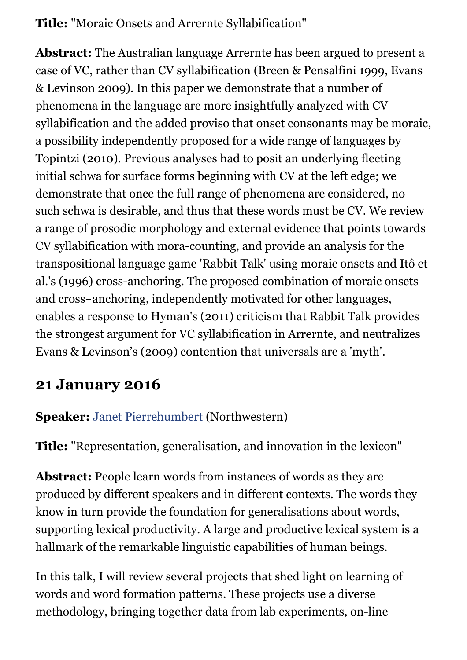**Title:** "Moraic Onsets and Arrernte Syllabification"

**Abstract:** The Australian language Arrernte has been argued to present a case of VC, rather than CV syllabification (Breen & Pensalfini 1999, Evans & Levinson 2009). In this paper we demonstrate that a number of phenomena in the language are more insightfully analyzed with CV syllabification and the added proviso that onset consonants may be moraic, a possibility independently proposed for a wide range of languages by Topintzi (2010). Previous analyses had to posit an underlying fleeting initial schwa for surface forms beginning with CV at the left edge; we demonstrate that once the full range of phenomena are considered, no such schwa is desirable, and thus that these words must be CV. We review a range of prosodic morphology and external evidence that points towards CV syllabification with mora-counting, and provide an analysis for the transpositional language game 'Rabbit Talk' using moraic onsets and Itô et al.'s (1996) cross-anchoring. The proposed combination of moraic onsets and cross-anchoring, independently motivated for other languages, enables a response to Hyman's (2011) criticism that Rabbit Talk provides the strongest argument for VC syllabification in Arrernte, and neutralizes Evans & Levinson's (2009) contention that universals are a 'myth'.

#### **21 January 2016**

#### **Speaker:** [Janet Pierrehumbert](http://faculty.wcas.northwestern.edu/~jbp/) (Northwestern)

**Title:** "Representation, generalisation, and innovation in the lexicon"

**Abstract:** People learn words from instances of words as they are produced by different speakers and in different contexts. The words they know in turn provide the foundation for generalisations about words, supporting lexical productivity. A large and productive lexical system is a hallmark of the remarkable linguistic capabilities of human beings.

In this talk, I will review several projects that shed light on learning of words and word formation patterns. These projects use a diverse methodology, bringing together data from lab experiments, on-line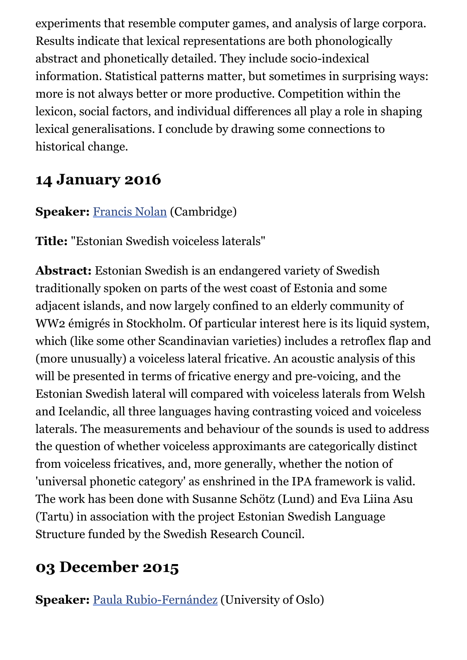experiments that resemble computer games, and analysis of large corpora. Results indicate that lexical representations are both phonologically abstract and phonetically detailed. They include socio-indexical information. Statistical patterns matter, but sometimes in surprising ways: more is not always better or more productive. Competition within the lexicon, social factors, and individual differences all play a role in shaping lexical generalisations. I conclude by drawing some connections to historical change.

#### **14 January 2016**

#### **Speaker: [Francis Nolan](http://www.ling.cam.ac.uk/francis/) (Cambridge)**

**Title:** "Estonian Swedish voiceless laterals"

**Abstract:** Estonian Swedish is an endangered variety of Swedish traditionally spoken on parts of the west coast of Estonia and some adjacent islands, and now largely confined to an elderly community of WW2 émigrés in Stockholm. Of particular interest here is its liquid system, which (like some other Scandinavian varieties) includes a retroflex flap and (more unusually) a voiceless lateral fricative. An acoustic analysis of this will be presented in terms of fricative energy and pre-voicing, and the Estonian Swedish lateral will compared with voiceless laterals from Welsh and Icelandic, all three languages having contrasting voiced and voiceless laterals. The measurements and behaviour of the sounds is used to address the question of whether voiceless approximants are categorically distinct from voiceless fricatives, and, more generally, whether the notion of 'universal phonetic category' as enshrined in the IPA framework is valid. The work has been done with Susanne Schötz (Lund) and Eva Liina Asu (Tartu) in association with the project Estonian Swedish Language Structure funded by the Swedish Research Council.

### **03 December 2015**

**Speaker:** [Paula Rubio-Fernández](http://www.hf.uio.no/ifikk/english/people/aca/paulorf/) (University of Oslo)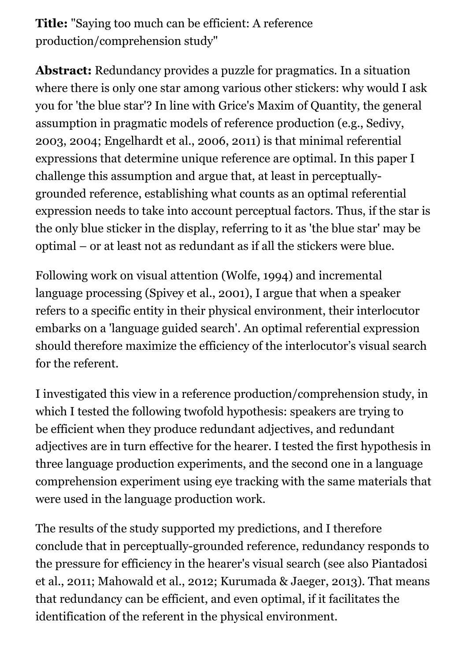**Title:** "Saying too much can be efficient: A reference production/comprehension study"

**Abstract:** Redundancy provides a puzzle for pragmatics. In a situation where there is only one star among various other stickers: why would I ask you for 'the blue star'? In line with Grice's Maxim of Quantity, the general assumption in pragmatic models of reference production (e.g., Sedivy, 2003, 2004; Engelhardt et al., 2006, 2011) is that minimal referential expressions that determine unique reference are optimal. In this paper I challenge this assumption and argue that, at least in perceptuallygrounded reference, establishing what counts as an optimal referential expression needs to take into account perceptual factors. Thus, if the star is the only blue sticker in the display, referring to it as 'the blue star' may be optimal – or at least not as redundant as if all the stickers were blue.

Following work on visual attention (Wolfe, 1994) and incremental language processing (Spivey et al., 2001), I argue that when a speaker refers to a specific entity in their physical environment, their interlocutor embarks on a 'language guided search'. An optimal referential expression should therefore maximize the efficiency of the interlocutor's visual search for the referent.

I investigated this view in a reference production/comprehension study, in which I tested the following twofold hypothesis: speakers are trying to be efficient when they produce redundant adjectives, and redundant adjectives are in turn effective for the hearer. I tested the first hypothesis in three language production experiments, and the second one in a language comprehension experiment using eye tracking with the same materials that were used in the language production work.

The results of the study supported my predictions, and I therefore conclude that in perceptually-grounded reference, redundancy responds to the pressure for efficiency in the hearer's visual search (see also Piantadosi et al., 2011; Mahowald et al., 2012; Kurumada & Jaeger, 2013). That means that redundancy can be efficient, and even optimal, if it facilitates the identification of the referent in the physical environment.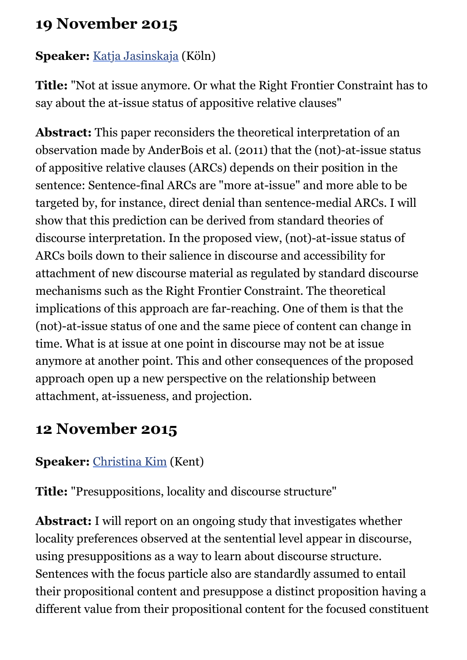#### **19 November 2015**

#### **Speaker:** [Katja Jasinskaja](http://dslc.phil-fak.uni-koeln.de/20854.html?&L=1) (Köln)

**Title:** "Not at issue anymore. Or what the Right Frontier Constraint has to say about the at-issue status of appositive relative clauses"

**Abstract:** This paper reconsiders the theoretical interpretation of an observation made by AnderBois et al. (2011) that the (not)-at-issue status of appositive relative clauses (ARCs) depends on their position in the sentence: Sentence-final ARCs are "more at-issue" and more able to be targeted by, for instance, direct denial than sentence-medial ARCs. I will show that this prediction can be derived from standard theories of discourse interpretation. In the proposed view, (not)-at-issue status of ARCs boils down to their salience in discourse and accessibility for attachment of new discourse material as regulated by standard discourse mechanisms such as the Right Frontier Constraint. The theoretical implications of this approach are far-reaching. One of them is that the (not)-at-issue status of one and the same piece of content can change in time. What is at issue at one point in discourse may not be at issue anymore at another point. This and other consequences of the proposed approach open up a new perspective on the relationship between attachment, at-issueness, and projection.

### **12 November 2015**

#### **Speaker:** [Christina Kim](http://www.kent.ac.uk/secl/ell/staff/kim.html) (Kent)

**Title:** "Presuppositions, locality and discourse structure"

**Abstract:** I will report on an ongoing study that investigates whether locality preferences observed at the sentential level appear in discourse, using presuppositions as a way to learn about discourse structure. Sentences with the focus particle also are standardly assumed to entail their propositional content and presuppose a distinct proposition having a different value from their propositional content for the focused constituent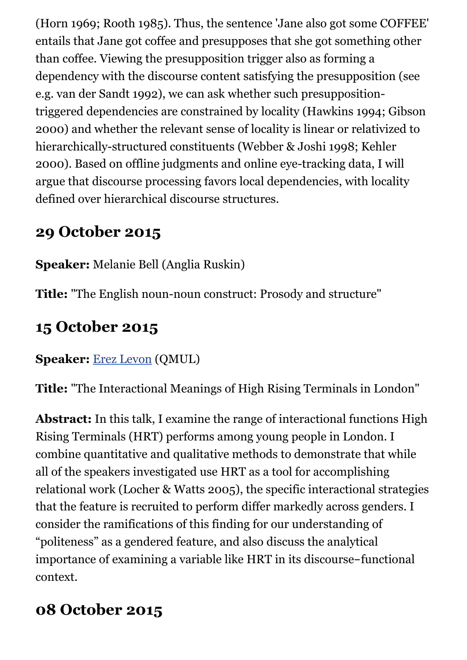(Horn 1969; Rooth 1985). Thus, the sentence 'Jane also got some COFFEE' entails that Jane got coffee and presupposes that she got something other than coffee. Viewing the presupposition trigger also as forming a dependency with the discourse content satisfying the presupposition (see e.g. van der Sandt 1992), we can ask whether such presuppositiontriggered dependencies are constrained by locality (Hawkins 1994; Gibson 2000) and whether the relevant sense of locality is linear or relativized to hierarchically-structured constituents (Webber & Joshi 1998; Kehler 2000). Based on offline judgments and online eye-tracking data, I will argue that discourse processing favors local dependencies, with locality defined over hierarchical discourse structures.

### **29 October 2015**

**Speaker:** Melanie Bell (Anglia Ruskin)

**Title:** "The English noun-noun construct: Prosody and structure"

### **15 October 2015**

#### **Speaker:** [Erez Levon](http://webspace.qmul.ac.uk/elevon/) (QMUL)

**Title:** "The Interactional Meanings of High Rising Terminals in London"

**Abstract:** In this talk, I examine the range of interactional functions High Rising Terminals (HRT) performs among young people in London. I combine quantitative and qualitative methods to demonstrate that while all of the speakers investigated use HRT as a tool for accomplishing relational work (Locher & Watts 2005), the specific interactional strategies that the feature is recruited to perform differ markedly across genders. I consider the ramifications of this finding for our understanding of "politeness" as a gendered feature, and also discuss the analytical importance of examining a variable like HRT in its discourse-functional context.

### **08 October 2015**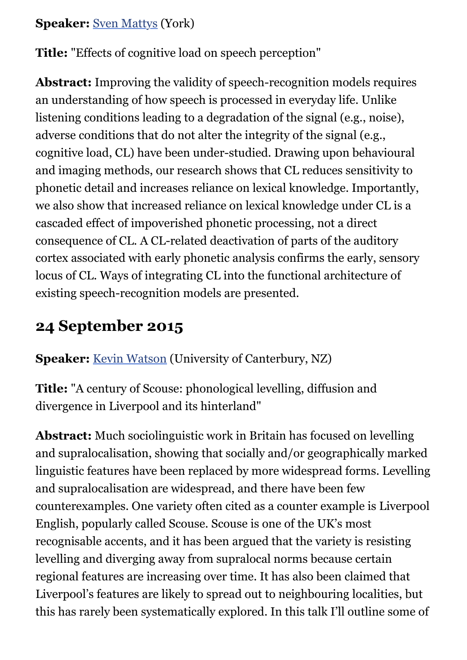#### **Speaker:** [Sven Mattys](http://www.york.ac.uk/psychology/staff/faculty/svenmattys/) (York)

**Title:** "Effects of cognitive load on speech perception"

**Abstract:** Improving the validity of speech-recognition models requires an understanding of how speech is processed in everyday life. Unlike listening conditions leading to a degradation of the signal (e.g., noise), adverse conditions that do not alter the integrity of the signal (e.g., cognitive load, CL) have been under-studied. Drawing upon behavioural and imaging methods, our research shows that CL reduces sensitivity to phonetic detail and increases reliance on lexical knowledge. Importantly, we also show that increased reliance on lexical knowledge under CL is a cascaded effect of impoverished phonetic processing, not a direct consequence of CL. A CL-related deactivation of parts of the auditory cortex associated with early phonetic analysis confirms the early, sensory locus of CL. Ways of integrating CL into the functional architecture of existing speech-recognition models are presented.

### **24 September 2015**

**Speaker:** [Kevin Watson](http://www.arts.canterbury.ac.nz/linguistics/people/watson.shtml) (University of Canterbury, NZ)

**Title:** "A century of Scouse: phonological levelling, diffusion and divergence in Liverpool and its hinterland"

**Abstract:** Much sociolinguistic work in Britain has focused on levelling and supralocalisation, showing that socially and/or geographically marked linguistic features have been replaced by more widespread forms. Levelling and supralocalisation are widespread, and there have been few counterexamples. One variety often cited as a counter example is Liverpool English, popularly called Scouse. Scouse is one of the UK's most recognisable accents, and it has been argued that the variety is resisting levelling and diverging away from supralocal norms because certain regional features are increasing over time. It has also been claimed that Liverpool's features are likely to spread out to neighbouring localities, but this has rarely been systematically explored. In this talk I'll outline some of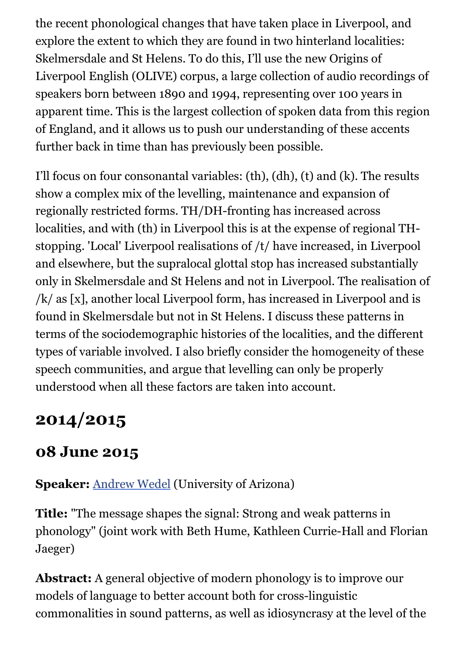the recent phonological changes that have taken place in Liverpool, and explore the extent to which they are found in two hinterland localities: Skelmersdale and St Helens. To do this, I'll use the new Origins of Liverpool English (OLIVE) corpus, a large collection of audio recordings of speakers born between 1890 and 1994, representing over 100 years in apparent time. This is the largest collection of spoken data from this region of England, and it allows us to push our understanding of these accents further back in time than has previously been possible.

I'll focus on four consonantal variables: (th), (dh), (t) and (k). The results show a complex mix of the levelling, maintenance and expansion of regionally restricted forms. TH/DH-fronting has increased across localities, and with (th) in Liverpool this is at the expense of regional THstopping. 'Local' Liverpool realisations of /t/ have increased, in Liverpool and elsewhere, but the supralocal glottal stop has increased substantially only in Skelmersdale and St Helens and not in Liverpool. The realisation of /k/ as [x], another local Liverpool form, has increased in Liverpool and is found in Skelmersdale but not in St Helens. I discuss these patterns in terms of the sociodemographic histories of the localities, and the different types of variable involved. I also briefly consider the homogeneity of these speech communities, and argue that levelling can only be properly understood when all these factors are taken into account.

# **2014/2015**

### **08 June 2015**

**Speaker:** [Andrew Wedel](http://dingo.sbs.arizona.edu/~wedel/) (University of Arizona)

**Title:** "The message shapes the signal: Strong and weak patterns in phonology" (joint work with Beth Hume, Kathleen Currie-Hall and Florian Jaeger)

**Abstract:** A general objective of modern phonology is to improve our models of language to better account both for cross-linguistic commonalities in sound patterns, as well as idiosyncrasy at the level of the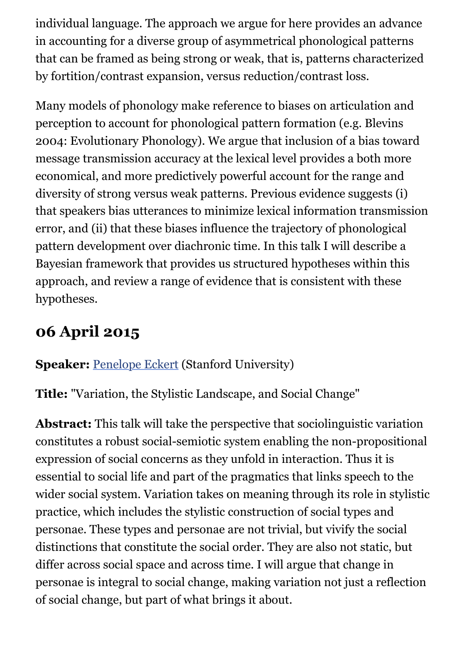individual language. The approach we argue for here provides an advance in accounting for a diverse group of asymmetrical phonological patterns that can be framed as being strong or weak, that is, patterns characterized by fortition/contrast expansion, versus reduction/contrast loss.

Many models of phonology make reference to biases on articulation and perception to account for phonological pattern formation (e.g. Blevins 2004: Evolutionary Phonology). We argue that inclusion of a bias toward message transmission accuracy at the lexical level provides a both more economical, and more predictively powerful account for the range and diversity of strong versus weak patterns. Previous evidence suggests (i) that speakers bias utterances to minimize lexical information transmission error, and (ii) that these biases influence the trajectory of phonological pattern development over diachronic time. In this talk I will describe a Bayesian framework that provides us structured hypotheses within this approach, and review a range of evidence that is consistent with these hypotheses.

### **06 April 2015**

#### **Speaker:** [Penelope Eckert](http://web.stanford.edu/~eckert/) (Stanford University)

**Title:** "Variation, the Stylistic Landscape, and Social Change"

**Abstract:** This talk will take the perspective that sociolinguistic variation constitutes a robust social-semiotic system enabling the non-propositional expression of social concerns as they unfold in interaction. Thus it is essential to social life and part of the pragmatics that links speech to the wider social system. Variation takes on meaning through its role in stylistic practice, which includes the stylistic construction of social types and personae. These types and personae are not trivial, but vivify the social distinctions that constitute the social order. They are also not static, but differ across social space and across time. I will argue that change in personae is integral to social change, making variation not just a reflection of social change, but part of what brings it about.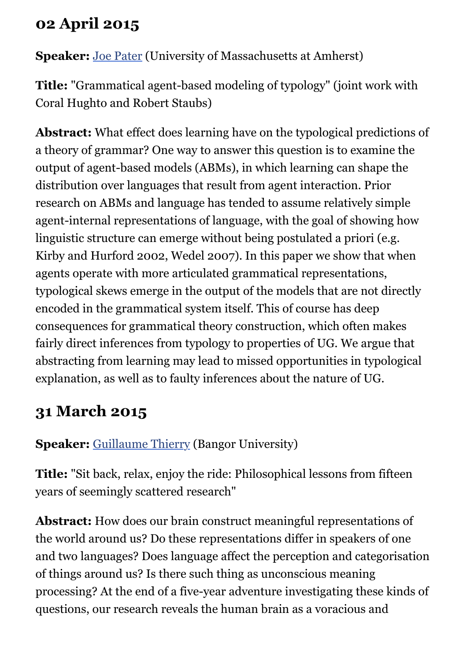### **02 April 2015**

**Speaker:** [Joe Pater](http://blogs.umass.edu/pater/) (University of Massachusetts at Amherst)

**Title:** "Grammatical agent-based modeling of typology" (joint work with Coral Hughto and Robert Staubs)

**Abstract:** What effect does learning have on the typological predictions of a theory of grammar? One way to answer this question is to examine the output of agent-based models (ABMs), in which learning can shape the distribution over languages that result from agent interaction. Prior research on ABMs and language has tended to assume relatively simple agent-internal representations of language, with the goal of showing how linguistic structure can emerge without being postulated a priori (e.g. Kirby and Hurford 2002, Wedel 2007). In this paper we show that when agents operate with more articulated grammatical representations, typological skews emerge in the output of the models that are not directly encoded in the grammatical system itself. This of course has deep consequences for grammatical theory construction, which often makes fairly direct inferences from typology to properties of UG. We argue that abstracting from learning may lead to missed opportunities in typological explanation, as well as to faulty inferences about the nature of UG.

### **31 March 2015**

**Speaker:** [Guillaume Thierry](http://www.bangor.ac.uk/psychology/people/profiles/guillaume_thierry.php.en) (Bangor University)

**Title:** "Sit back, relax, enjoy the ride: Philosophical lessons from fifteen years of seemingly scattered research"

**Abstract:** How does our brain construct meaningful representations of the world around us? Do these representations differ in speakers of one and two languages? Does language affect the perception and categorisation of things around us? Is there such thing as unconscious meaning processing? At the end of a five-year adventure investigating these kinds of questions, our research reveals the human brain as a voracious and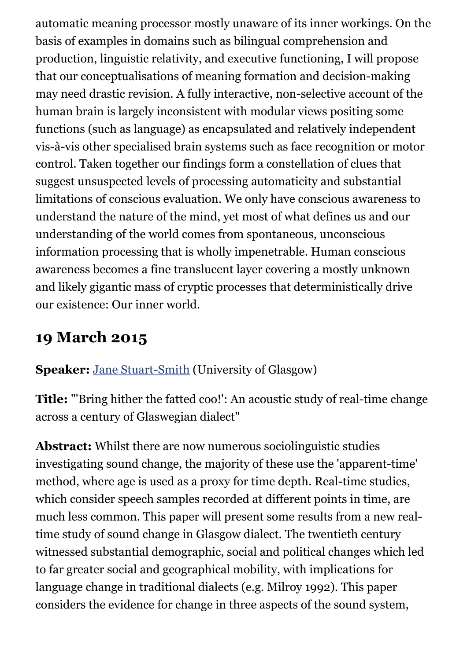automatic meaning processor mostly unaware of its inner workings. On the basis of examples in domains such as bilingual comprehension and production, linguistic relativity, and executive functioning, I will propose that our conceptualisations of meaning formation and decision-making may need drastic revision. A fully interactive, non-selective account of the human brain is largely inconsistent with modular views positing some functions (such as language) as encapsulated and relatively independent vis-à-vis other specialised brain systems such as face recognition or motor control. Taken together our findings form a constellation of clues that suggest unsuspected levels of processing automaticity and substantial limitations of conscious evaluation. We only have conscious awareness to understand the nature of the mind, yet most of what defines us and our understanding of the world comes from spontaneous, unconscious information processing that is wholly impenetrable. Human conscious awareness becomes a fine translucent layer covering a mostly unknown and likely gigantic mass of cryptic processes that deterministically drive our existence: Our inner world.

### **19 March 2015**

**Speaker:** [Jane Stuart-Smith](http://www.gla.ac.uk/schools/critical/staff/janestuart-smith/) (University of Glasgow)

**Title:** "'Bring hither the fatted coo!': An acoustic study of real-time change across a century of Glaswegian dialect"

**Abstract:** Whilst there are now numerous sociolinguistic studies investigating sound change, the majority of these use the 'apparent-time' method, where age is used as a proxy for time depth. Real-time studies, which consider speech samples recorded at different points in time, are much less common. This paper will present some results from a new realtime study of sound change in Glasgow dialect. The twentieth century witnessed substantial demographic, social and political changes which led to far greater social and geographical mobility, with implications for language change in traditional dialects (e.g. Milroy 1992). This paper considers the evidence for change in three aspects of the sound system,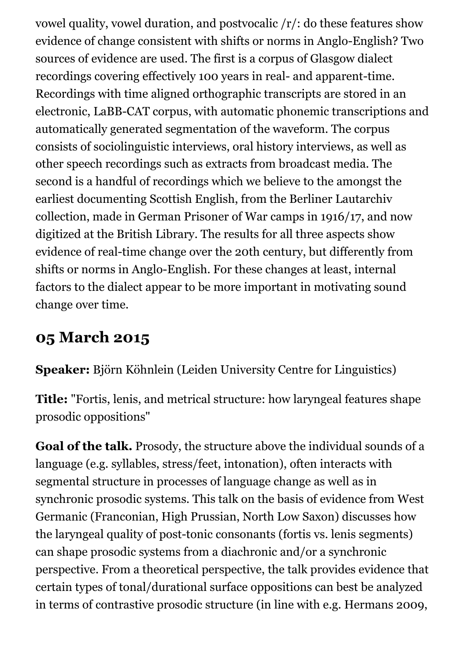vowel quality, vowel duration, and postvocalic /r/: do these features show evidence of change consistent with shifts or norms in Anglo-English? Two sources of evidence are used. The first is a corpus of Glasgow dialect recordings covering effectively 100 years in real- and apparent-time. Recordings with time aligned orthographic transcripts are stored in an electronic, LaBB-CAT corpus, with automatic phonemic transcriptions and automatically generated segmentation of the waveform. The corpus consists of sociolinguistic interviews, oral history interviews, as well as other speech recordings such as extracts from broadcast media. The second is a handful of recordings which we believe to the amongst the earliest documenting Scottish English, from the Berliner Lautarchiv collection, made in German Prisoner of War camps in 1916/17, and now digitized at the British Library. The results for all three aspects show evidence of real-time change over the 20th century, but differently from shifts or norms in Anglo-English. For these changes at least, internal factors to the dialect appear to be more important in motivating sound change over time.

#### **05 March 2015**

**Speaker:** Björn Köhnlein (Leiden University Centre for Linguistics)

**Title:** "Fortis, lenis, and metrical structure: how laryngeal features shape prosodic oppositions"

**Goal of the talk.** Prosody, the structure above the individual sounds of a language (e.g. syllables, stress/feet, intonation), often interacts with segmental structure in processes of language change as well as in synchronic prosodic systems. This talk on the basis of evidence from West Germanic (Franconian, High Prussian, North Low Saxon) discusses how the laryngeal quality of post-tonic consonants (fortis vs. lenis segments) can shape prosodic systems from a diachronic and/or a synchronic perspective. From a theoretical perspective, the talk provides evidence that certain types of tonal/durational surface oppositions can best be analyzed in terms of contrastive prosodic structure (in line with e.g. Hermans 2009,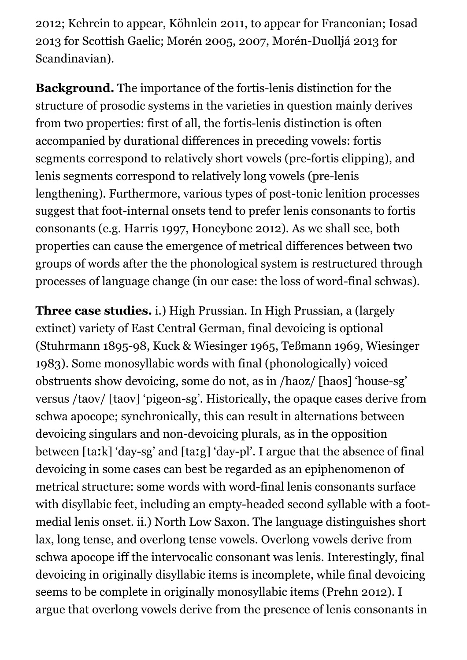2012; Kehrein to appear, Köhnlein 2011, to appear for Franconian; Iosad 2013 for Scottish Gaelic; Morén 2005, 2007, Morén-Duolljá 2013 for Scandinavian).

**Background.** The importance of the fortis-lenis distinction for the structure of prosodic systems in the varieties in question mainly derives from two properties: first of all, the fortis-lenis distinction is often accompanied by durational differences in preceding vowels: fortis segments correspond to relatively short vowels (pre-fortis clipping), and lenis segments correspond to relatively long vowels (pre-lenis lengthening). Furthermore, various types of post-tonic lenition processes suggest that foot-internal onsets tend to prefer lenis consonants to fortis consonants (e.g. Harris 1997, Honeybone 2012). As we shall see, both properties can cause the emergence of metrical differences between two groups of words after the the phonological system is restructured through processes of language change (in our case: the loss of word-final schwas).

**Three case studies.** i.) High Prussian. In High Prussian, a (largely extinct) variety of East Central German, final devoicing is optional (Stuhrmann 1895-98, Kuck & Wiesinger 1965, Teßmann 1969, Wiesinger 1983). Some monosyllabic words with final (phonologically) voiced obstruents show devoicing, some do not, as in /haoz/ [haos] 'house-sg' versus /taov/ [taov] 'pigeon-sg'. Historically, the opaque cases derive from schwa apocope; synchronically, this can result in alternations between devoicing singulars and non-devoicing plurals, as in the opposition between [taːk] 'day-sg' and [taːg] 'day-pl'. I argue that the absence of final devoicing in some cases can best be regarded as an epiphenomenon of metrical structure: some words with word-final lenis consonants surface with disyllabic feet, including an empty-headed second syllable with a footmedial lenis onset. ii.) North Low Saxon. The language distinguishes short lax, long tense, and overlong tense vowels. Overlong vowels derive from schwa apocope iff the intervocalic consonant was lenis. Interestingly, final devoicing in originally disyllabic items is incomplete, while final devoicing seems to be complete in originally monosyllabic items (Prehn 2012). I argue that overlong vowels derive from the presence of lenis consonants in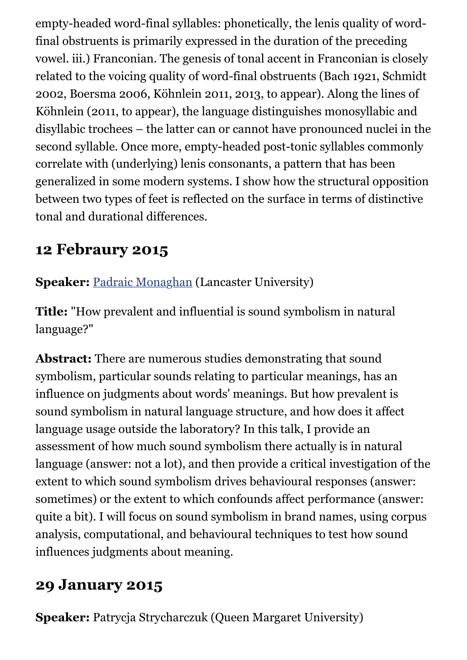empty-headed word-final syllables: phonetically, the lenis quality of wordfinal obstruents is primarily expressed in the duration of the preceding vowel. iii.) Franconian. The genesis of tonal accent in Franconian is closely related to the voicing quality of word-final obstruents (Bach 1921, Schmidt 2002, Boersma 2006, Köhnlein 2011, 2013, to appear). Along the lines of Köhnlein (2011, to appear), the language distinguishes monosyllabic and disyllabic trochees – the latter can or cannot have pronounced nuclei in the second syllable. Once more, empty-headed post-tonic syllables commonly correlate with (underlying) lenis consonants, a pattern that has been generalized in some modern systems. I show how the structural opposition between two types of feet is reflected on the surface in terms of distinctive tonal and durational differences.

#### **12 Febraury 2015**

**Speaker:** [Padraic Monaghan](http://www.lancaster.ac.uk/staff/monaghan/) (Lancaster University)

**Title:** "How prevalent and influential is sound symbolism in natural language?"

**Abstract:** There are numerous studies demonstrating that sound symbolism, particular sounds relating to particular meanings, has an influence on judgments about words' meanings. But how prevalent is sound symbolism in natural language structure, and how does it affect language usage outside the laboratory? In this talk, I provide an assessment of how much sound symbolism there actually is in natural language (answer: not a lot), and then provide a critical investigation of the extent to which sound symbolism drives behavioural responses (answer: sometimes) or the extent to which confounds affect performance (answer: quite a bit). I will focus on sound symbolism in brand names, using corpus analysis, computational, and behavioural techniques to test how sound influences judgments about meaning.

### **29 January 2015**

**Speaker:** Patrycja Strycharczuk (Queen Margaret University)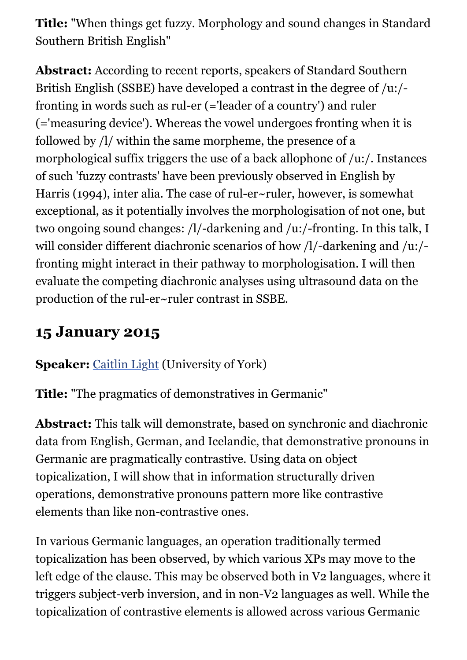**Title:** "When things get fuzzy. Morphology and sound changes in Standard Southern British English"

**Abstract:** According to recent reports, speakers of Standard Southern British English (SSBE) have developed a contrast in the degree of /u:/ fronting in words such as rul-er (='leader of a country') and ruler (='measuring device'). Whereas the vowel undergoes fronting when it is followed by /l/ within the same morpheme, the presence of a morphological suffix triggers the use of a back allophone of /u:/. Instances of such 'fuzzy contrasts' have been previously observed in English by Harris (1994), inter alia. The case of rul-er~ruler, however, is somewhat exceptional, as it potentially involves the morphologisation of not one, but two ongoing sound changes: /l/-darkening and /u:/-fronting. In this talk, I will consider different diachronic scenarios of how /l/-darkening and /u:/fronting might interact in their pathway to morphologisation. I will then evaluate the competing diachronic analyses using ultrasound data on the production of the rul-er~ruler contrast in SSBE.

#### **15 January 2015**

#### **Speaker:** [Caitlin Light](http://www.york.ac.uk/language/people/academic-research/caitlin-light/) (University of York)

**Title:** "The pragmatics of demonstratives in Germanic"

**Abstract:** This talk will demonstrate, based on synchronic and diachronic data from English, German, and Icelandic, that demonstrative pronouns in Germanic are pragmatically contrastive. Using data on object topicalization, I will show that in information structurally driven operations, demonstrative pronouns pattern more like contrastive elements than like non-contrastive ones.

In various Germanic languages, an operation traditionally termed topicalization has been observed, by which various XPs may move to the left edge of the clause. This may be observed both in V2 languages, where it triggers subject-verb inversion, and in non-V2 languages as well. While the topicalization of contrastive elements is allowed across various Germanic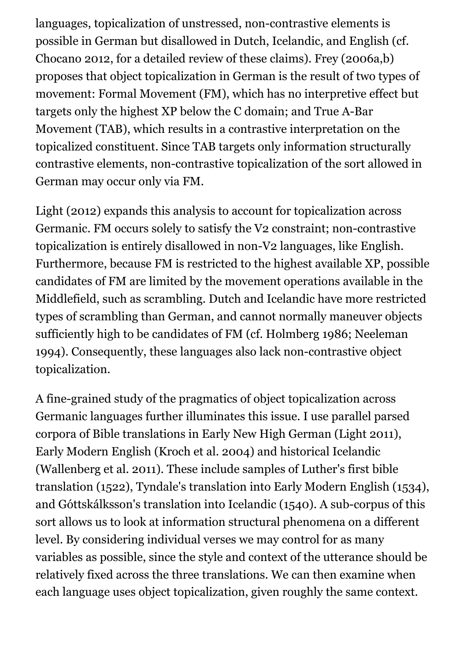languages, topicalization of unstressed, non-contrastive elements is possible in German but disallowed in Dutch, Icelandic, and English (cf. Chocano 2012, for a detailed review of these claims). Frey (2006a,b) proposes that object topicalization in German is the result of two types of movement: Formal Movement (FM), which has no interpretive effect but targets only the highest XP below the C domain; and True A-Bar Movement (TAB), which results in a contrastive interpretation on the topicalized constituent. Since TAB targets only information structurally contrastive elements, non-contrastive topicalization of the sort allowed in German may occur only via FM.

Light (2012) expands this analysis to account for topicalization across Germanic. FM occurs solely to satisfy the V2 constraint; non-contrastive topicalization is entirely disallowed in non-V2 languages, like English. Furthermore, because FM is restricted to the highest available XP, possible candidates of FM are limited by the movement operations available in the Middlefield, such as scrambling. Dutch and Icelandic have more restricted types of scrambling than German, and cannot normally maneuver objects sufficiently high to be candidates of FM (cf. Holmberg 1986; Neeleman 1994). Consequently, these languages also lack non-contrastive object topicalization.

A fine-grained study of the pragmatics of object topicalization across Germanic languages further illuminates this issue. I use parallel parsed corpora of Bible translations in Early New High German (Light 2011), Early Modern English (Kroch et al. 2004) and historical Icelandic (Wallenberg et al. 2011). These include samples of Luther's first bible translation (1522), Tyndale's translation into Early Modern English (1534), and Góttskálksson's translation into Icelandic (1540). A sub-corpus of this sort allows us to look at information structural phenomena on a different level. By considering individual verses we may control for as many variables as possible, since the style and context of the utterance should be relatively fixed across the three translations. We can then examine when each language uses object topicalization, given roughly the same context.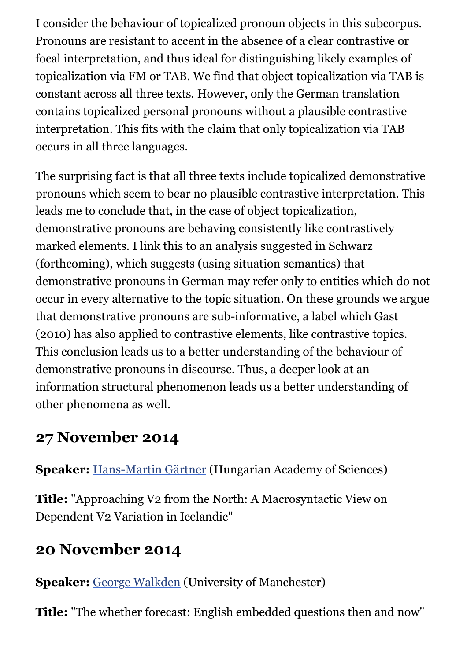I consider the behaviour of topicalized pronoun objects in this subcorpus. Pronouns are resistant to accent in the absence of a clear contrastive or focal interpretation, and thus ideal for distinguishing likely examples of topicalization via FM or TAB. We find that object topicalization via TAB is constant across all three texts. However, only the German translation contains topicalized personal pronouns without a plausible contrastive interpretation. This fits with the claim that only topicalization via TAB occurs in all three languages.

The surprising fact is that all three texts include topicalized demonstrative pronouns which seem to bear no plausible contrastive interpretation. This leads me to conclude that, in the case of object topicalization, demonstrative pronouns are behaving consistently like contrastively marked elements. I link this to an analysis suggested in Schwarz (forthcoming), which suggests (using situation semantics) that demonstrative pronouns in German may refer only to entities which do not occur in every alternative to the topic situation. On these grounds we argue that demonstrative pronouns are sub-informative, a label which Gast (2010) has also applied to contrastive elements, like contrastive topics. This conclusion leads us to a better understanding of the behaviour of demonstrative pronouns in discourse. Thus, a deeper look at an information structural phenomenon leads us a better understanding of other phenomena as well.

### **27 November 2014**

**Speaker:** [Hans-Martin Gärtner](http://www.nytud.mta.hu/depts/tlp/gaertner/publist.html) (Hungarian Academy of Sciences)

**Title:** "Approaching V2 from the North: A Macrosyntactic View on Dependent V2 Variation in Icelandic"

#### **20 November 2014**

**Speaker:** [George Walkden](http://personalpages.manchester.ac.uk/staff/george.walkden/) (University of Manchester)

**Title:** "The whether forecast: English embedded questions then and now"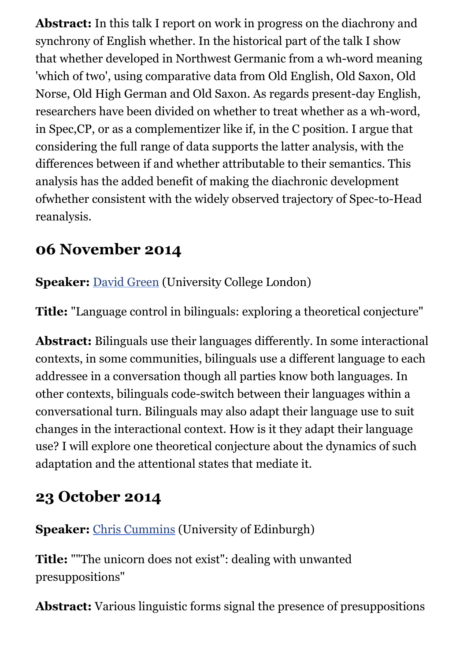**Abstract:** In this talk I report on work in progress on the diachrony and synchrony of English whether. In the historical part of the talk I show that whether developed in Northwest Germanic from a wh-word meaning 'which of two', using comparative data from Old English, Old Saxon, Old Norse, Old High German and Old Saxon. As regards present-day English, researchers have been divided on whether to treat whether as a wh-word, in Spec,CP, or as a complementizer like if, in the C position. I argue that considering the full range of data supports the latter analysis, with the differences between if and whether attributable to their semantics. This analysis has the added benefit of making the diachronic development ofwhether consistent with the widely observed trajectory of Spec-to-Head reanalysis.

#### **06 November 2014**

**Speaker:** [David Green](https://iris.ucl.ac.uk/iris/browse/profile?upi=DWGRE63) (University College London)

**Title:** "Language control in bilinguals: exploring a theoretical conjecture"

**Abstract:** Bilinguals use their languages differently. In some interactional contexts, in some communities, bilinguals use a different language to each addressee in a conversation though all parties know both languages. In other contexts, bilinguals code-switch between their languages within a conversational turn. Bilinguals may also adapt their language use to suit changes in the interactional context. How is it they adapt their language use? I will explore one theoretical conjecture about the dynamics of such adaptation and the attentional states that mediate it.

### **23 October 2014**

**Speaker:** [Chris Cummins](http://www.lel.ed.ac.uk/people/view.php?name=chris-cummins) (University of Edinburgh)

**Title:** ""The unicorn does not exist": dealing with unwanted presuppositions"

**Abstract:** Various linguistic forms signal the presence of presuppositions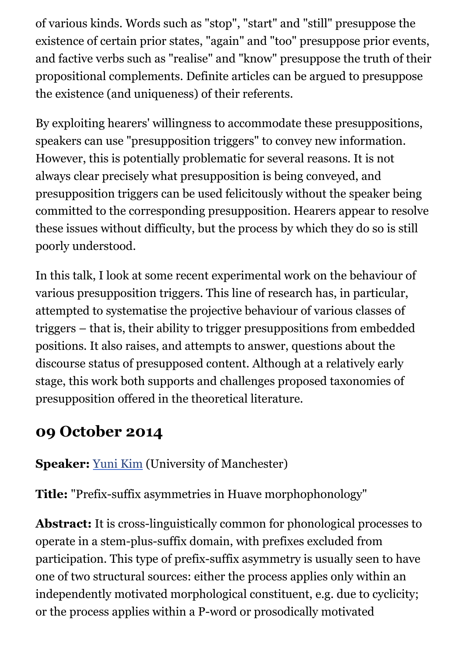of various kinds. Words such as "stop", "start" and "still" presuppose the existence of certain prior states, "again" and "too" presuppose prior events, and factive verbs such as "realise" and "know" presuppose the truth of their propositional complements. Definite articles can be argued to presuppose the existence (and uniqueness) of their referents.

By exploiting hearers' willingness to accommodate these presuppositions, speakers can use "presupposition triggers" to convey new information. However, this is potentially problematic for several reasons. It is not always clear precisely what presupposition is being conveyed, and presupposition triggers can be used felicitously without the speaker being committed to the corresponding presupposition. Hearers appear to resolve these issues without difficulty, but the process by which they do so is still poorly understood.

In this talk, I look at some recent experimental work on the behaviour of various presupposition triggers. This line of research has, in particular, attempted to systematise the projective behaviour of various classes of triggers – that is, their ability to trigger presuppositions from embedded positions. It also raises, and attempts to answer, questions about the discourse status of presupposed content. Although at a relatively early stage, this work both supports and challenges proposed taxonomies of presupposition offered in the theoretical literature.

#### **09 October 2014**

**Speaker:** [Yuni Kim](http://personalpages.manchester.ac.uk/staff/yuni.kim/) (University of Manchester)

**Title:** "Prefix-suffix asymmetries in Huave morphophonology"

Abstract: It is cross-linguistically common for phonological processes to operate in a stem-plus-suffix domain, with prefixes excluded from participation. This type of prefix-suffix asymmetry is usually seen to have one of two structural sources: either the process applies only within an independently motivated morphological constituent, e.g. due to cyclicity; or the process applies within a P-word or prosodically motivated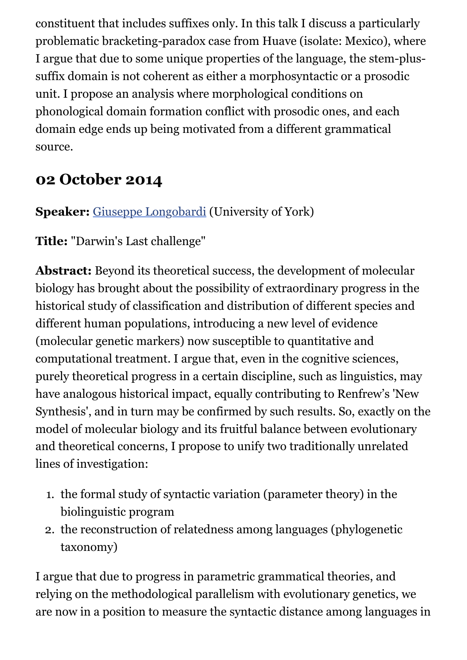constituent that includes suffixes only. In this talk I discuss a particularly problematic bracketing-paradox case from Huave (isolate: Mexico), where I argue that due to some unique properties of the language, the stem-plussuffix domain is not coherent as either a morphosyntactic or a prosodic unit. I propose an analysis where morphological conditions on phonological domain formation conflict with prosodic ones, and each domain edge ends up being motivated from a different grammatical source.

#### **02 October 2014**

#### **Speaker:** [Giuseppe Longobardi](http://www.york.ac.uk/language/people/academic-research/giuseppe-longobardi/) (University of York)

**Title:** "Darwin's Last challenge"

**Abstract:** Beyond its theoretical success, the development of molecular biology has brought about the possibility of extraordinary progress in the historical study of classification and distribution of different species and different human populations, introducing a new level of evidence (molecular genetic markers) now susceptible to quantitative and computational treatment. I argue that, even in the cognitive sciences, purely theoretical progress in a certain discipline, such as linguistics, may have analogous historical impact, equally contributing to Renfrew's 'New Synthesis', and in turn may be confirmed by such results. So, exactly on the model of molecular biology and its fruitful balance between evolutionary and theoretical concerns, I propose to unify two traditionally unrelated lines of investigation:

- 1. the formal study of syntactic variation (parameter theory) in the biolinguistic program
- 2. the reconstruction of relatedness among languages (phylogenetic taxonomy)

I argue that due to progress in parametric grammatical theories, and relying on the methodological parallelism with evolutionary genetics, we are now in a position to measure the syntactic distance among languages in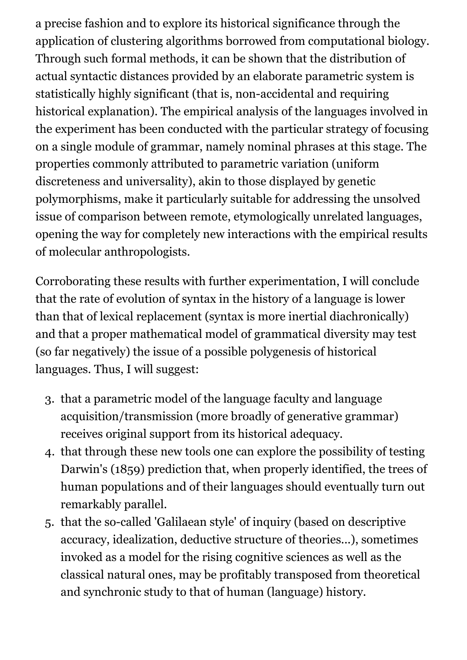a precise fashion and to explore its historical significance through the application of clustering algorithms borrowed from computational biology. Through such formal methods, it can be shown that the distribution of actual syntactic distances provided by an elaborate parametric system is statistically highly significant (that is, non-accidental and requiring historical explanation). The empirical analysis of the languages involved in the experiment has been conducted with the particular strategy of focusing on a single module of grammar, namely nominal phrases at this stage. The properties commonly attributed to parametric variation (uniform discreteness and universality), akin to those displayed by genetic polymorphisms, make it particularly suitable for addressing the unsolved issue of comparison between remote, etymologically unrelated languages, opening the way for completely new interactions with the empirical results of molecular anthropologists.

Corroborating these results with further experimentation, I will conclude that the rate of evolution of syntax in the history of a language is lower than that of lexical replacement (syntax is more inertial diachronically) and that a proper mathematical model of grammatical diversity may test (so far negatively) the issue of a possible polygenesis of historical languages. Thus, I will suggest:

- 3. that a parametric model of the language faculty and language acquisition/transmission (more broadly of generative grammar) receives original support from its historical adequacy.
- 4. that through these new tools one can explore the possibility of testing Darwin's (1859) prediction that, when properly identified, the trees of human populations and of their languages should eventually turn out remarkably parallel.
- 5. that the so-called 'Galilaean style' of inquiry (based on descriptive accuracy, idealization, deductive structure of theories...), sometimes invoked as a model for the rising cognitive sciences as well as the classical natural ones, may be profitably transposed from theoretical and synchronic study to that of human (language) history.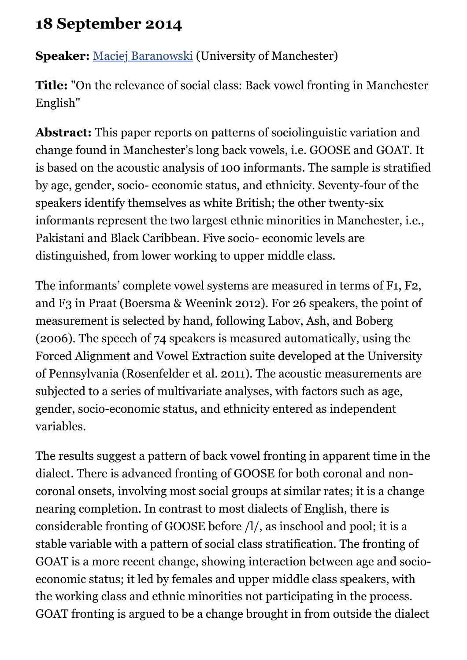### **18 September 2014**

**Speaker:** [Maciej Baranowski](http://www.manchester.ac.uk/research/maciej.baranowski/) (University of Manchester)

**Title:** "On the relevance of social class: Back vowel fronting in Manchester English"

**Abstract:** This paper reports on patterns of sociolinguistic variation and change found in Manchester's long back vowels, i.e. GOOSE and GOAT. It is based on the acoustic analysis of 100 informants. The sample is stratified by age, gender, socio- economic status, and ethnicity. Seventy-four of the speakers identify themselves as white British; the other twenty-six informants represent the two largest ethnic minorities in Manchester, i.e., Pakistani and Black Caribbean. Five socio- economic levels are distinguished, from lower working to upper middle class.

The informants' complete vowel systems are measured in terms of F1, F2, and F3 in Praat (Boersma & Weenink 2012). For 26 speakers, the point of measurement is selected by hand, following Labov, Ash, and Boberg (2006). The speech of 74 speakers is measured automatically, using the Forced Alignment and Vowel Extraction suite developed at the University of Pennsylvania (Rosenfelder et al. 2011). The acoustic measurements are subjected to a series of multivariate analyses, with factors such as age, gender, socio-economic status, and ethnicity entered as independent variables.

The results suggest a pattern of back vowel fronting in apparent time in the dialect. There is advanced fronting of GOOSE for both coronal and noncoronal onsets, involving most social groups at similar rates; it is a change nearing completion. In contrast to most dialects of English, there is considerable fronting of GOOSE before /l/, as inschool and pool; it is a stable variable with a pattern of social class stratification. The fronting of GOAT is a more recent change, showing interaction between age and socioeconomic status; it led by females and upper middle class speakers, with the working class and ethnic minorities not participating in the process. GOAT fronting is argued to be a change brought in from outside the dialect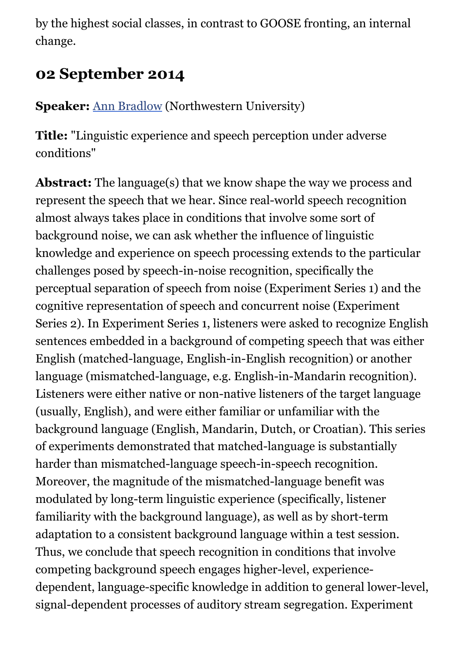by the highest social classes, in contrast to GOOSE fronting, an internal change.

### **02 September 2014**

**Speaker:** [Ann Bradlow](http://faculty.wcas.northwestern.edu/ann-bradlow/) (Northwestern University)

**Title:** "Linguistic experience and speech perception under adverse conditions"

**Abstract:** The language(s) that we know shape the way we process and represent the speech that we hear. Since real-world speech recognition almost always takes place in conditions that involve some sort of background noise, we can ask whether the influence of linguistic knowledge and experience on speech processing extends to the particular challenges posed by speech-in-noise recognition, specifically the perceptual separation of speech from noise (Experiment Series 1) and the cognitive representation of speech and concurrent noise (Experiment Series 2). In Experiment Series 1, listeners were asked to recognize English sentences embedded in a background of competing speech that was either English (matched-language, English-in-English recognition) or another language (mismatched-language, e.g. English-in-Mandarin recognition). Listeners were either native or non-native listeners of the target language (usually, English), and were either familiar or unfamiliar with the background language (English, Mandarin, Dutch, or Croatian). This series of experiments demonstrated that matched-language is substantially harder than mismatched-language speech-in-speech recognition. Moreover, the magnitude of the mismatched-language benefit was modulated by long-term linguistic experience (specifically, listener familiarity with the background language), as well as by short-term adaptation to a consistent background language within a test session. Thus, we conclude that speech recognition in conditions that involve competing background speech engages higher-level, experiencedependent, language-specific knowledge in addition to general lower-level, signal-dependent processes of auditory stream segregation. Experiment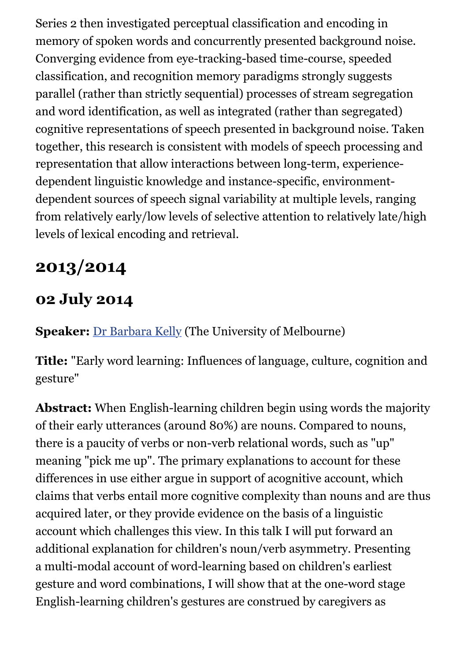Series 2 then investigated perceptual classification and encoding in memory of spoken words and concurrently presented background noise. Converging evidence from eye-tracking-based time-course, speeded classification, and recognition memory paradigms strongly suggests parallel (rather than strictly sequential) processes of stream segregation and word identification, as well as integrated (rather than segregated) cognitive representations of speech presented in background noise. Taken together, this research is consistent with models of speech processing and representation that allow interactions between long-term, experiencedependent linguistic knowledge and instance-specific, environmentdependent sources of speech signal variability at multiple levels, ranging from relatively early/low levels of selective attention to relatively late/high levels of lexical encoding and retrieval.

# **2013/2014**

### **02 July 2014**

**Speaker:** [Dr Barbara Kelly](http://languages-linguistics.unimelb.edu.au/academic-staff/barbara-kelly) (The University of Melbourne)

**Title:** "Early word learning: Influences of language, culture, cognition and gesture"

**Abstract:** When English-learning children begin using words the majority of their early utterances (around 80%) are nouns. Compared to nouns, there is a paucity of verbs or non-verb relational words, such as "up" meaning "pick me up". The primary explanations to account for these differences in use either argue in support of acognitive account, which claims that verbs entail more cognitive complexity than nouns and are thus acquired later, or they provide evidence on the basis of a linguistic account which challenges this view. In this talk I will put forward an additional explanation for children's noun/verb asymmetry. Presenting a multi-modal account of word-learning based on children's earliest gesture and word combinations, I will show that at the one-word stage English-learning children's gestures are construed by caregivers as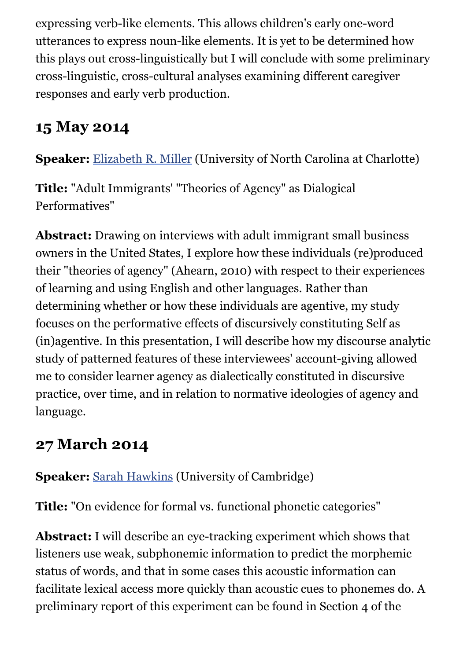expressing verb-like elements. This allows children's early one-word utterances to express noun-like elements. It is yet to be determined how this plays out cross-linguistically but I will conclude with some preliminary cross-linguistic, cross-cultural analyses examining different caregiver responses and early verb production.

### **15 May 2014**

**Speaker:** [Elizabeth R. Miller](http://clas-pages.uncc.edu/elizabeth-r-miller/) (University of North Carolina at Charlotte)

**Title:** "Adult Immigrants' "Theories of Agency" as Dialogical Performatives"

**Abstract:** Drawing on interviews with adult immigrant small business owners in the United States, I explore how these individuals (re)produced their "theories of agency" (Ahearn, 2010) with respect to their experiences of learning and using English and other languages. Rather than determining whether or how these individuals are agentive, my study focuses on the performative effects of discursively constituting Self as (in)agentive. In this presentation, I will describe how my discourse analytic study of patterned features of these interviewees' account-giving allowed me to consider learner agency as dialectically constituted in discursive practice, over time, and in relation to normative ideologies of agency and language.

### **27 March 2014**

#### **Speaker:** [Sarah Hawkins](http://www.ling.cam.ac.uk/people/sarah/) (University of Cambridge)

**Title:** "On evidence for formal vs. functional phonetic categories"

**Abstract:** I will describe an eye-tracking experiment which shows that listeners use weak, subphonemic information to predict the morphemic status of words, and that in some cases this acoustic information can facilitate lexical access more quickly than acoustic cues to phonemes do. A preliminary report of this experiment can be found in Section 4 of the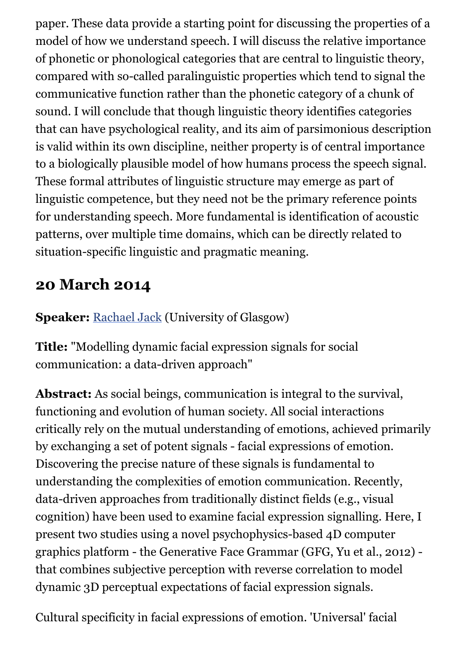paper. These data provide a starting point for discussing the properties of a model of how we understand speech. I will discuss the relative importance of phonetic or phonological categories that are central to linguistic theory, compared with so-called paralinguistic properties which tend to signal the communicative function rather than the phonetic category of a chunk of sound. I will conclude that though linguistic theory identifies categories that can have psychological reality, and its aim of parsimonious description is valid within its own discipline, neither property is of central importance to a biologically plausible model of how humans process the speech signal. These formal attributes of linguistic structure may emerge as part of linguistic competence, but they need not be the primary reference points for understanding speech. More fundamental is identification of acoustic patterns, over multiple time domains, which can be directly related to situation-specific linguistic and pragmatic meaning.

### **20 March 2014**

**Speaker:** [Rachael Jack](http://www.gla.ac.uk/schools/psychology/staff/rachaeljack/) (University of Glasgow)

**Title:** "Modelling dynamic facial expression signals for social communication: a data-driven approach"

**Abstract:** As social beings, communication is integral to the survival, functioning and evolution of human society. All social interactions critically rely on the mutual understanding of emotions, achieved primarily by exchanging a set of potent signals - facial expressions of emotion. Discovering the precise nature of these signals is fundamental to understanding the complexities of emotion communication. Recently, data-driven approaches from traditionally distinct fields (e.g., visual cognition) have been used to examine facial expression signalling. Here, I present two studies using a novel psychophysics-based 4D computer graphics platform - the Generative Face Grammar (GFG, Yu et al., 2012) that combines subjective perception with reverse correlation to model dynamic 3D perceptual expectations of facial expression signals.

Cultural specificity in facial expressions of emotion. 'Universal' facial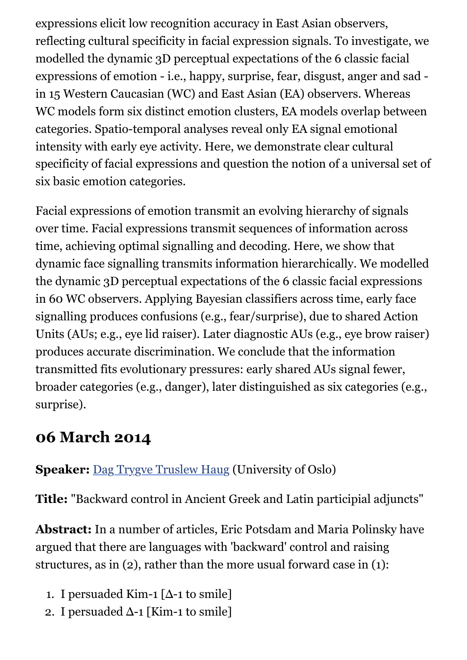expressions elicit low recognition accuracy in East Asian observers, reflecting cultural specificity in facial expression signals. To investigate, we modelled the dynamic 3D perceptual expectations of the 6 classic facial expressions of emotion - i.e., happy, surprise, fear, disgust, anger and sad in 15 Western Caucasian (WC) and East Asian (EA) observers. Whereas WC models form six distinct emotion clusters, EA models overlap between categories. Spatio-temporal analyses reveal only EA signal emotional intensity with early eye activity. Here, we demonstrate clear cultural specificity of facial expressions and question the notion of a universal set of six basic emotion categories.

Facial expressions of emotion transmit an evolving hierarchy of signals over time. Facial expressions transmit sequences of information across time, achieving optimal signalling and decoding. Here, we show that dynamic face signalling transmits information hierarchically. We modelled the dynamic 3D perceptual expectations of the 6 classic facial expressions in 60 WC observers. Applying Bayesian classifiers across time, early face signalling produces confusions (e.g., fear/surprise), due to shared Action Units (AUs; e.g., eye lid raiser). Later diagnostic AUs (e.g., eye brow raiser) produces accurate discrimination. We conclude that the information transmitted fits evolutionary pressures: early shared AUs signal fewer, broader categories (e.g., danger), later distinguished as six categories (e.g., surprise).

#### **06 March 2014**

#### **Speaker:** [Dag Trygve Truslew Haug](http://www.hf.uio.no/ifikk/english/people/aca/daghaug/index.html) (University of Oslo)

**Title:** "Backward control in Ancient Greek and Latin participial adjuncts"

**Abstract:** In a number of articles, Eric Potsdam and Maria Polinsky have argued that there are languages with 'backward' control and raising structures, as in (2), rather than the more usual forward case in (1):

- 1. I persuaded Kim-1  $[\Delta$ -1 to smile]
- 2. I persuaded Δ-1 [Kim-1 to smile]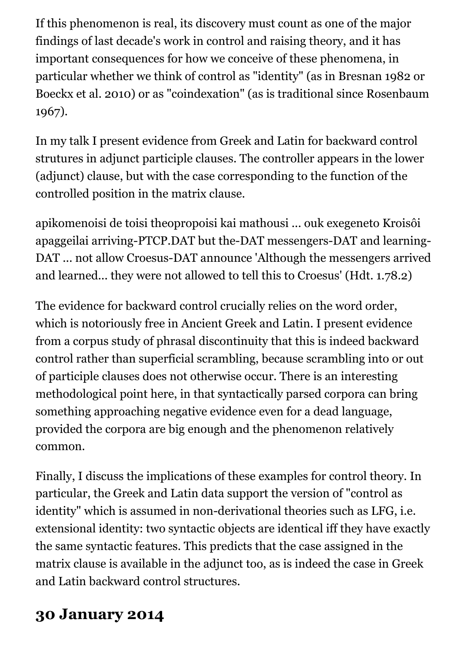If this phenomenon is real, its discovery must count as one of the major findings of last decade's work in control and raising theory, and it has important consequences for how we conceive of these phenomena, in particular whether we think of control as "identity" (as in Bresnan 1982 or Boeckx et al. 2010) or as "coindexation" (as is traditional since Rosenbaum 1967).

In my talk I present evidence from Greek and Latin for backward control strutures in adjunct participle clauses. The controller appears in the lower (adjunct) clause, but with the case corresponding to the function of the controlled position in the matrix clause.

apikomenoisi de toisi theopropoisi kai mathousi ... ouk exegeneto Kroisôi apaggeilai arriving-PTCP.DAT but the-DAT messengers-DAT and learning-DAT ... not allow Croesus-DAT announce 'Although the messengers arrived and learned... they were not allowed to tell this to Croesus' (Hdt. 1.78.2)

The evidence for backward control crucially relies on the word order, which is notoriously free in Ancient Greek and Latin. I present evidence from a corpus study of phrasal discontinuity that this is indeed backward control rather than superficial scrambling, because scrambling into or out of participle clauses does not otherwise occur. There is an interesting methodological point here, in that syntactically parsed corpora can bring something approaching negative evidence even for a dead language, provided the corpora are big enough and the phenomenon relatively common.

Finally, I discuss the implications of these examples for control theory. In particular, the Greek and Latin data support the version of "control as identity" which is assumed in non-derivational theories such as LFG, i.e. extensional identity: two syntactic objects are identical iff they have exactly the same syntactic features. This predicts that the case assigned in the matrix clause is available in the adjunct too, as is indeed the case in Greek and Latin backward control structures.

### **30 January 2014**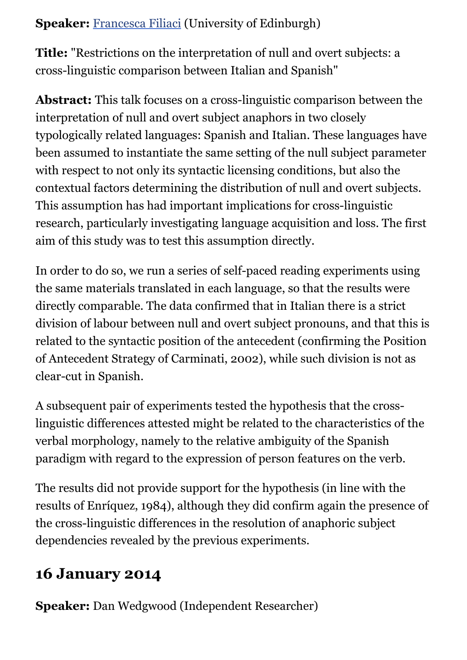#### **Speaker:** [Francesca Filiaci](http://www.lel.ed.ac.uk/people/view.php?name=francesca-filiaci) (University of Edinburgh)

**Title:** "Restrictions on the interpretation of null and overt subjects: a cross-linguistic comparison between Italian and Spanish"

**Abstract:** This talk focuses on a cross-linguistic comparison between the interpretation of null and overt subject anaphors in two closely typologically related languages: Spanish and Italian. These languages have been assumed to instantiate the same setting of the null subject parameter with respect to not only its syntactic licensing conditions, but also the contextual factors determining the distribution of null and overt subjects. This assumption has had important implications for cross-linguistic research, particularly investigating language acquisition and loss. The first aim of this study was to test this assumption directly.

In order to do so, we run a series of self-paced reading experiments using the same materials translated in each language, so that the results were directly comparable. The data confirmed that in Italian there is a strict division of labour between null and overt subject pronouns, and that this is related to the syntactic position of the antecedent (confirming the Position of Antecedent Strategy of Carminati, 2002), while such division is not as clear-cut in Spanish.

A subsequent pair of experiments tested the hypothesis that the crosslinguistic differences attested might be related to the characteristics of the verbal morphology, namely to the relative ambiguity of the Spanish paradigm with regard to the expression of person features on the verb.

The results did not provide support for the hypothesis (in line with the results of Enríquez, 1984), although they did confirm again the presence of the cross-linguistic differences in the resolution of anaphoric subject dependencies revealed by the previous experiments.

# **16 January 2014**

**Speaker:** Dan Wedgwood (Independent Researcher)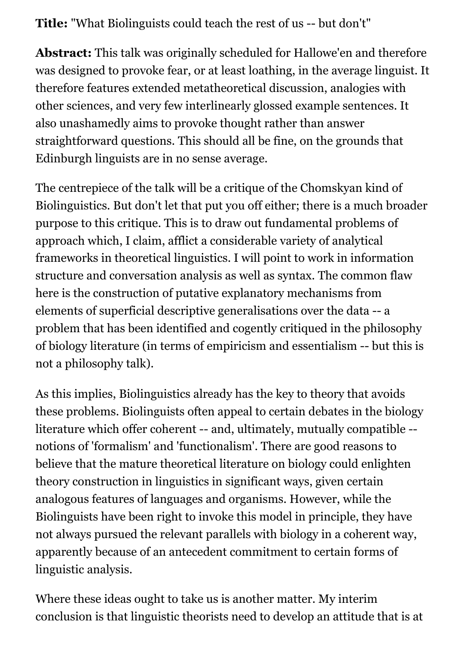**Title:** "What Biolinguists could teach the rest of us -- but don't"

**Abstract:** This talk was originally scheduled for Hallowe'en and therefore was designed to provoke fear, or at least loathing, in the average linguist. It therefore features extended metatheoretical discussion, analogies with other sciences, and very few interlinearly glossed example sentences. It also unashamedly aims to provoke thought rather than answer straightforward questions. This should all be fine, on the grounds that Edinburgh linguists are in no sense average.

The centrepiece of the talk will be a critique of the Chomskyan kind of Biolinguistics. But don't let that put you off either; there is a much broader purpose to this critique. This is to draw out fundamental problems of approach which, I claim, afflict a considerable variety of analytical frameworks in theoretical linguistics. I will point to work in information structure and conversation analysis as well as syntax. The common flaw here is the construction of putative explanatory mechanisms from elements of superficial descriptive generalisations over the data -- a problem that has been identified and cogently critiqued in the philosophy of biology literature (in terms of empiricism and essentialism -- but this is not a philosophy talk).

As this implies, Biolinguistics already has the key to theory that avoids these problems. Biolinguists often appeal to certain debates in the biology literature which offer coherent -- and, ultimately, mutually compatible - notions of 'formalism' and 'functionalism'. There are good reasons to believe that the mature theoretical literature on biology could enlighten theory construction in linguistics in significant ways, given certain analogous features of languages and organisms. However, while the Biolinguists have been right to invoke this model in principle, they have not always pursued the relevant parallels with biology in a coherent way, apparently because of an antecedent commitment to certain forms of linguistic analysis.

Where these ideas ought to take us is another matter. My interim conclusion is that linguistic theorists need to develop an attitude that is at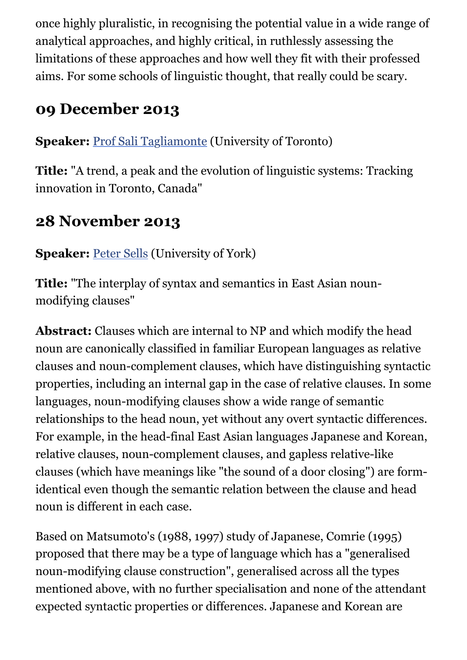once highly pluralistic, in recognising the potential value in a wide range of analytical approaches, and highly critical, in ruthlessly assessing the limitations of these approaches and how well they fit with their professed aims. For some schools of linguistic thought, that really could be scary.

### **09 December 2013**

**Speaker:** [Prof Sali Tagliamonte](http://individual.utoronto.ca/tagliamonte/) (University of Toronto)

**Title:** "A trend, a peak and the evolution of linguistic systems: Tracking innovation in Toronto, Canada"

#### **28 November 2013**

**Speaker:** [Peter Sells](http://www.york.ac.uk/language/people/academic-research/peter-sells/) (University of York)

**Title:** "The interplay of syntax and semantics in East Asian nounmodifying clauses"

**Abstract:** Clauses which are internal to NP and which modify the head noun are canonically classified in familiar European languages as relative clauses and noun-complement clauses, which have distinguishing syntactic properties, including an internal gap in the case of relative clauses. In some languages, noun-modifying clauses show a wide range of semantic relationships to the head noun, yet without any overt syntactic differences. For example, in the head-final East Asian languages Japanese and Korean, relative clauses, noun-complement clauses, and gapless relative-like clauses (which have meanings like "the sound of a door closing") are formidentical even though the semantic relation between the clause and head noun is different in each case.

Based on Matsumoto's (1988, 1997) study of Japanese, Comrie (1995) proposed that there may be a type of language which has a "generalised noun-modifying clause construction", generalised across all the types mentioned above, with no further specialisation and none of the attendant expected syntactic properties or differences. Japanese and Korean are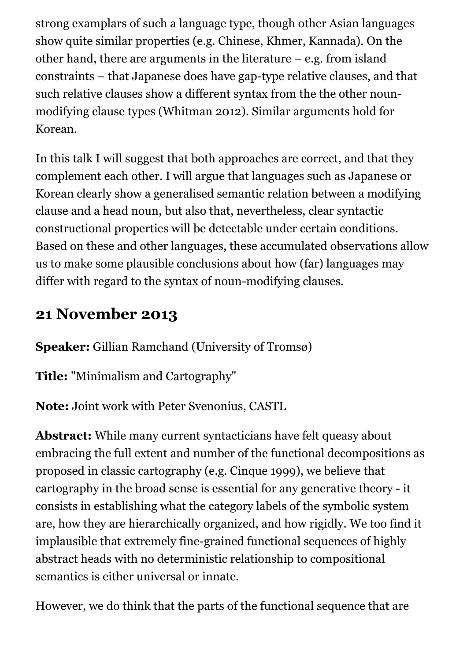strong examplars of such a language type, though other Asian languages show quite similar properties (e.g. Chinese, Khmer, Kannada). On the other hand, there are arguments in the literature – e.g. from island constraints – that Japanese does have gap-type relative clauses, and that such relative clauses show a different syntax from the the other nounmodifying clause types (Whitman 2012). Similar arguments hold for Korean.

In this talk I will suggest that both approaches are correct, and that they complement each other. I will argue that languages such as Japanese or Korean clearly show a generalised semantic relation between a modifying clause and a head noun, but also that, nevertheless, clear syntactic constructional properties will be detectable under certain conditions. Based on these and other languages, these accumulated observations allow us to make some plausible conclusions about how (far) languages may differ with regard to the syntax of noun-modifying clauses.

### **21 November 2013**

**Speaker:** Gillian Ramchand (University of Tromsø)

**Title:** "Minimalism and Cartography"

**Note:** Joint work with Peter Svenonius, CASTL

**Abstract:** While many current syntacticians have felt queasy about embracing the full extent and number of the functional decompositions as proposed in classic cartography (e.g. Cinque 1999), we believe that cartography in the broad sense is essential for any generative theory - it consists in establishing what the category labels of the symbolic system are, how they are hierarchically organized, and how rigidly. We too find it implausible that extremely fine-grained functional sequences of highly abstract heads with no deterministic relationship to compositional semantics is either universal or innate.

However, we do think that the parts of the functional sequence that are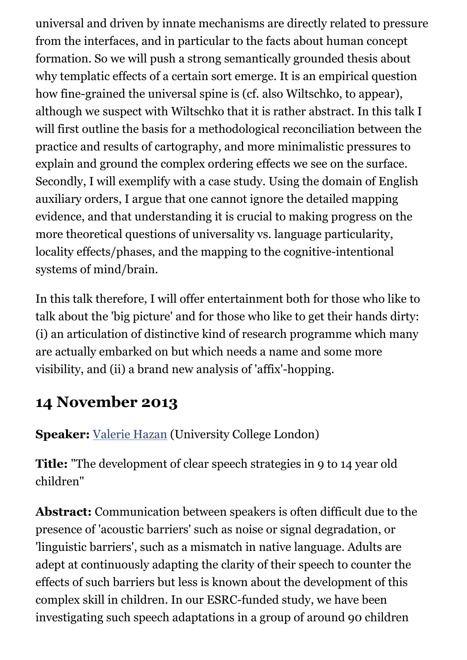universal and driven by innate mechanisms are directly related to pressure from the interfaces, and in particular to the facts about human concept formation. So we will push a strong semantically grounded thesis about why templatic effects of a certain sort emerge. It is an empirical question how fine-grained the universal spine is (cf. also Wiltschko, to appear), although we suspect with Wiltschko that it is rather abstract. In this talk I will first outline the basis for a methodological reconciliation between the practice and results of cartography, and more minimalistic pressures to explain and ground the complex ordering effects we see on the surface. Secondly, I will exemplify with a case study. Using the domain of English auxiliary orders, I argue that one cannot ignore the detailed mapping evidence, and that understanding it is crucial to making progress on the more theoretical questions of universality vs. language particularity, locality effects/phases, and the mapping to the cognitive-intentional systems of mind/brain.

In this talk therefore, I will offer entertainment both for those who like to talk about the 'big picture' and for those who like to get their hands dirty: (i) an articulation of distinctive kind of research programme which many are actually embarked on but which needs a name and some more visibility, and (ii) a brand new analysis of 'affix'-hopping.

### **14 November 2013**

**Speaker:** [Valerie Hazan](http://www.ucl.ac.uk/psychlangsci/research/speech/people/shps-staff/v_hazan) (University College London)

**Title:** "The development of clear speech strategies in 9 to 14 year old children"

**Abstract:** Communication between speakers is often difficult due to the presence of 'acoustic barriers' such as noise or signal degradation, or 'linguistic barriers', such as a mismatch in native language. Adults are adept at continuously adapting the clarity of their speech to counter the effects of such barriers but less is known about the development of this complex skill in children. In our ESRC-funded study, we have been investigating such speech adaptations in a group of around 90 children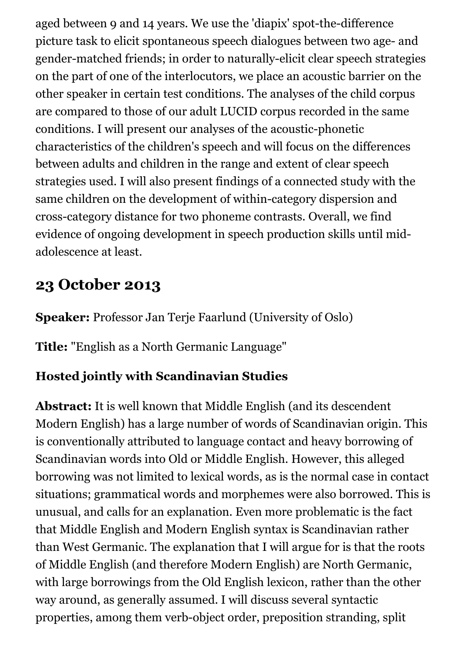aged between 9 and 14 years. We use the 'diapix' spot-the-difference picture task to elicit spontaneous speech dialogues between two age- and gender-matched friends; in order to naturally-elicit clear speech strategies on the part of one of the interlocutors, we place an acoustic barrier on the other speaker in certain test conditions. The analyses of the child corpus are compared to those of our adult LUCID corpus recorded in the same conditions. I will present our analyses of the acoustic-phonetic characteristics of the children's speech and will focus on the differences between adults and children in the range and extent of clear speech strategies used. I will also present findings of a connected study with the same children on the development of within-category dispersion and cross-category distance for two phoneme contrasts. Overall, we find evidence of ongoing development in speech production skills until midadolescence at least.

#### **23 October 2013**

**Speaker:** Professor Jan Terje Faarlund (University of Oslo)

**Title:** "English as a North Germanic Language"

#### **Hosted jointly with Scandinavian Studies**

**Abstract:** It is well known that Middle English (and its descendent Modern English) has a large number of words of Scandinavian origin. This is conventionally attributed to language contact and heavy borrowing of Scandinavian words into Old or Middle English. However, this alleged borrowing was not limited to lexical words, as is the normal case in contact situations; grammatical words and morphemes were also borrowed. This is unusual, and calls for an explanation. Even more problematic is the fact that Middle English and Modern English syntax is Scandinavian rather than West Germanic. The explanation that I will argue for is that the roots of Middle English (and therefore Modern English) are North Germanic, with large borrowings from the Old English lexicon, rather than the other way around, as generally assumed. I will discuss several syntactic properties, among them verb-object order, preposition stranding, split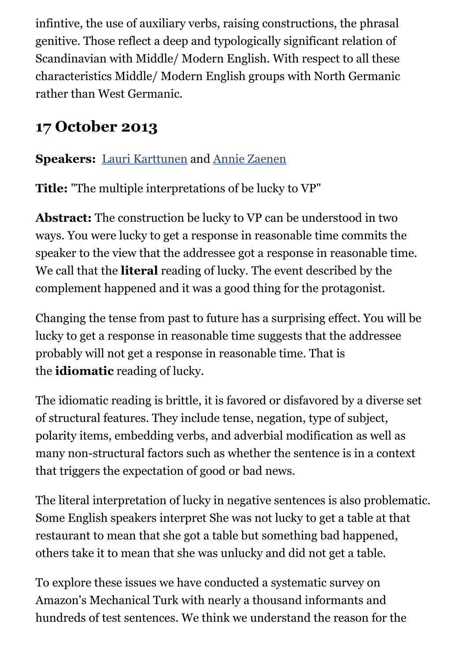infintive, the use of auxiliary verbs, raising constructions, the phrasal genitive. Those reflect a deep and typologically significant relation of Scandinavian with Middle/ Modern English. With respect to all these characteristics Middle/ Modern English groups with North Germanic rather than West Germanic.

### **17 October 2013**

#### **Speakers:** [Lauri Karttunen](http://www.stanford.edu/~laurik/) and [Annie Zaenen](http://www.stanford.edu/~azaenen/)

**Title:** "The multiple interpretations of be lucky to VP"

**Abstract:** The construction be lucky to VP can be understood in two ways. You were lucky to get a response in reasonable time commits the speaker to the view that the addressee got a response in reasonable time. We call that the **literal** reading of lucky. The event described by the complement happened and it was a good thing for the protagonist.

Changing the tense from past to future has a surprising effect. You will be lucky to get a response in reasonable time suggests that the addressee probably will not get a response in reasonable time. That is the **idiomatic** reading of lucky.

The idiomatic reading is brittle, it is favored or disfavored by a diverse set of structural features. They include tense, negation, type of subject, polarity items, embedding verbs, and adverbial modification as well as many non-structural factors such as whether the sentence is in a context that triggers the expectation of good or bad news.

The literal interpretation of lucky in negative sentences is also problematic. Some English speakers interpret She was not lucky to get a table at that restaurant to mean that she got a table but something bad happened, others take it to mean that she was unlucky and did not get a table.

To explore these issues we have conducted a systematic survey on Amazon's Mechanical Turk with nearly a thousand informants and hundreds of test sentences. We think we understand the reason for the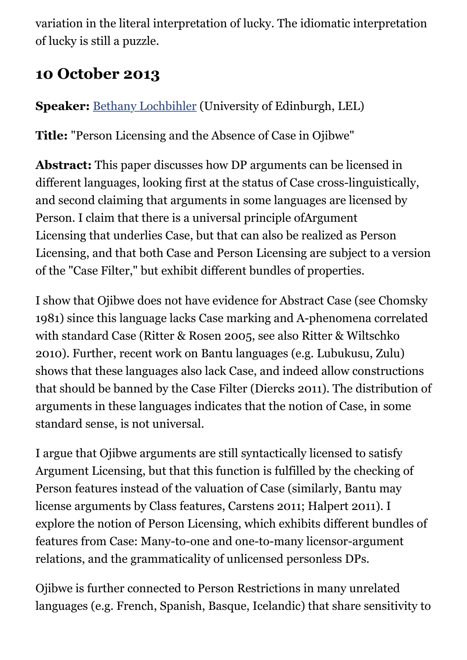variation in the literal interpretation of lucky. The idiomatic interpretation of lucky is still a puzzle.

### **10 October 2013**

**Speaker:** [Bethany Lochbihler](https://sites.google.com/site/bethanylochbihler/) (University of Edinburgh, LEL)

**Title:** "Person Licensing and the Absence of Case in Ojibwe"

**Abstract:** This paper discusses how DP arguments can be licensed in different languages, looking first at the status of Case cross-linguistically, and second claiming that arguments in some languages are licensed by Person. I claim that there is a universal principle ofArgument Licensing that underlies Case, but that can also be realized as Person Licensing, and that both Case and Person Licensing are subject to a version of the "Case Filter," but exhibit different bundles of properties.

I show that Ojibwe does not have evidence for Abstract Case (see Chomsky 1981) since this language lacks Case marking and A-phenomena correlated with standard Case (Ritter & Rosen 2005, see also Ritter & Wiltschko 2010). Further, recent work on Bantu languages (e.g. Lubukusu, Zulu) shows that these languages also lack Case, and indeed allow constructions that should be banned by the Case Filter (Diercks 2011). The distribution of arguments in these languages indicates that the notion of Case, in some standard sense, is not universal.

I argue that Ojibwe arguments are still syntactically licensed to satisfy Argument Licensing, but that this function is fulfilled by the checking of Person features instead of the valuation of Case (similarly, Bantu may license arguments by Class features, Carstens 2011; Halpert 2011). I explore the notion of Person Licensing, which exhibits different bundles of features from Case: Many-to-one and one-to-many licensor-argument relations, and the grammaticality of unlicensed personless DPs.

Ojibwe is further connected to Person Restrictions in many unrelated languages (e.g. French, Spanish, Basque, Icelandic) that share sensitivity to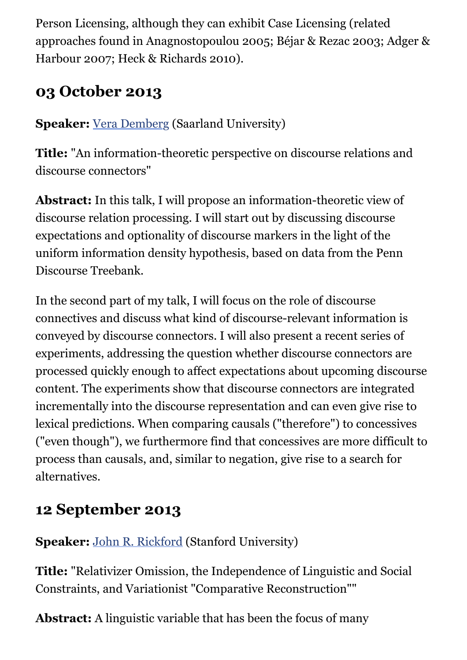Person Licensing, although they can exhibit Case Licensing (related approaches found in Anagnostopoulou 2005; Béjar & Rezac 2003; Adger & Harbour 2007; Heck & Richards 2010).

### **03 October 2013**

**Speaker:** [Vera Demberg](http://www.coli.uni-saarland.de/~vera/) (Saarland University)

**Title:** "An information-theoretic perspective on discourse relations and discourse connectors"

**Abstract:** In this talk, I will propose an information-theoretic view of discourse relation processing. I will start out by discussing discourse expectations and optionality of discourse markers in the light of the uniform information density hypothesis, based on data from the Penn Discourse Treebank.

In the second part of my talk, I will focus on the role of discourse connectives and discuss what kind of discourse-relevant information is conveyed by discourse connectors. I will also present a recent series of experiments, addressing the question whether discourse connectors are processed quickly enough to affect expectations about upcoming discourse content. The experiments show that discourse connectors are integrated incrementally into the discourse representation and can even give rise to lexical predictions. When comparing causals ("therefore") to concessives ("even though"), we furthermore find that concessives are more difficult to process than causals, and, similar to negation, give rise to a search for alternatives.

### **12 September 2013**

#### **Speaker:** [John R. Rickford](http://www.johnrickford.com/) (Stanford University)

**Title:** "Relativizer Omission, the Independence of Linguistic and Social Constraints, and Variationist "Comparative Reconstruction""

**Abstract:** A linguistic variable that has been the focus of many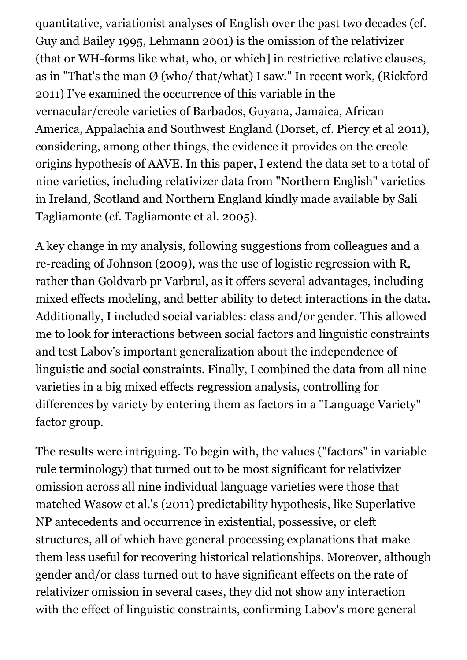quantitative, variationist analyses of English over the past two decades (cf. Guy and Bailey 1995, Lehmann 2001) is the omission of the relativizer (that or WH-forms like what, who, or which] in restrictive relative clauses, as in "That's the man  $\varnothing$  (who/ that/what) I saw." In recent work, (Rickford 2011) I've examined the occurrence of this variable in the vernacular/creole varieties of Barbados, Guyana, Jamaica, African America, Appalachia and Southwest England (Dorset, cf. Piercy et al 2011), considering, among other things, the evidence it provides on the creole origins hypothesis of AAVE. In this paper, I extend the data set to a total of nine varieties, including relativizer data from "Northern English" varieties in Ireland, Scotland and Northern England kindly made available by Sali Tagliamonte (cf. Tagliamonte et al. 2005).

A key change in my analysis, following suggestions from colleagues and a re-reading of Johnson (2009), was the use of logistic regression with R, rather than Goldvarb pr Varbrul, as it offers several advantages, including mixed effects modeling, and better ability to detect interactions in the data. Additionally, I included social variables: class and/or gender. This allowed me to look for interactions between social factors and linguistic constraints and test Labov's important generalization about the independence of linguistic and social constraints. Finally, I combined the data from all nine varieties in a big mixed effects regression analysis, controlling for differences by variety by entering them as factors in a "Language Variety" factor group.

The results were intriguing. To begin with, the values ("factors" in variable rule terminology) that turned out to be most significant for relativizer omission across all nine individual language varieties were those that matched Wasow et al.'s (2011) predictability hypothesis, like Superlative NP antecedents and occurrence in existential, possessive, or cleft structures, all of which have general processing explanations that make them less useful for recovering historical relationships. Moreover, although gender and/or class turned out to have significant effects on the rate of relativizer omission in several cases, they did not show any interaction with the effect of linguistic constraints, confirming Labov's more general